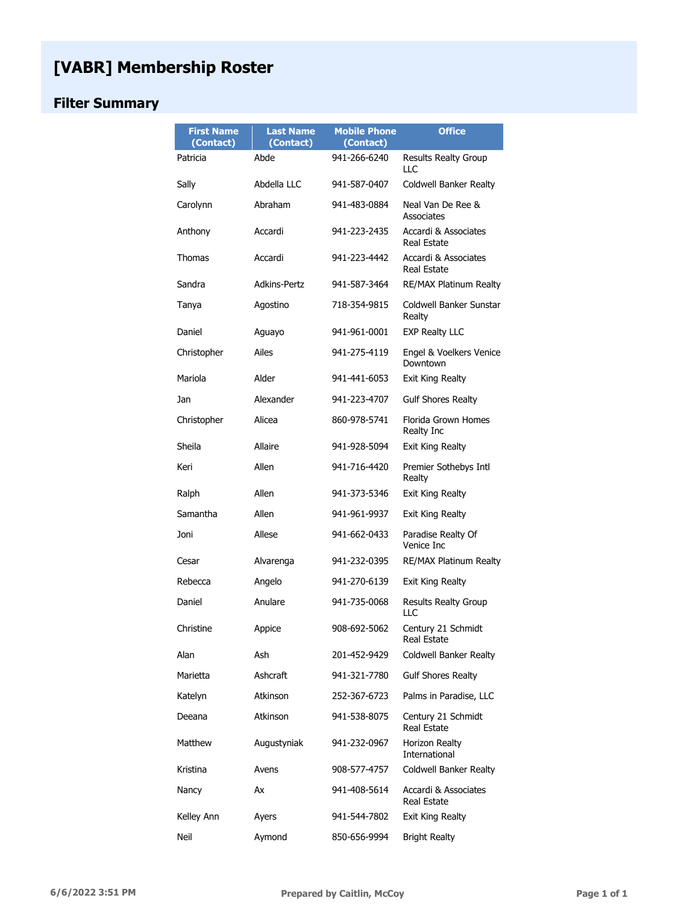# **[VABR] Membership Roster**

## **Filter Summary**

| <b>First Name</b><br>(Contact) | <b>Last Name</b><br>(Contact) | <b>Mobile Phone</b><br>(Contact) | <b>Office</b>                       |
|--------------------------------|-------------------------------|----------------------------------|-------------------------------------|
| Patricia                       | Abde                          | 941-266-6240                     | <b>Results Realty Group</b><br>LLC  |
| Sally                          | Abdella LLC                   | 941-587-0407                     | Coldwell Banker Realty              |
| Carolynn                       | Abraham                       | 941-483-0884                     | Neal Van De Ree &<br>Associates     |
| Anthony                        | Accardi                       | 941-223-2435                     | Accardi & Associates<br>Real Estate |
| Thomas                         | Accardi                       | 941-223-4442                     | Accardi & Associates<br>Real Estate |
| Sandra                         | <b>Adkins-Pertz</b>           | 941-587-3464                     | <b>RE/MAX Platinum Realty</b>       |
| Tanya                          | Agostino                      | 718-354-9815                     | Coldwell Banker Sunstar<br>Realty   |
| Daniel                         | Aguayo                        | 941-961-0001                     | <b>EXP Realty LLC</b>               |
| Christopher                    | Ailes                         | 941-275-4119                     | Engel & Voelkers Venice<br>Downtown |
| Mariola                        | Alder                         | 941-441-6053                     | Exit King Realty                    |
| Jan                            | Alexander                     | 941-223-4707                     | <b>Gulf Shores Realty</b>           |
| Christopher                    | Alicea                        | 860-978-5741                     | Florida Grown Homes<br>Realty Inc   |
| Sheila                         | Allaire                       | 941-928-5094                     | Exit King Realty                    |
| Keri                           | Allen                         | 941-716-4420                     | Premier Sothebys Intl<br>Realty     |
| Ralph                          | Allen                         | 941-373-5346                     | Exit King Realty                    |
| Samantha                       | Allen                         | 941-961-9937                     | Exit King Realty                    |
| Joni                           | Allese                        | 941-662-0433                     | Paradise Realty Of<br>Venice Inc    |
| Cesar                          | Alvarenga                     | 941-232-0395                     | <b>RE/MAX Platinum Realty</b>       |
| Rebecca                        | Angelo                        | 941-270-6139                     | Exit King Realty                    |
| Daniel                         | Anulare                       | 941-735-0068                     | <b>Results Realty Group</b><br>LLC  |
| Christine                      | Appice                        | 908-692-5062                     | Century 21 Schmidt<br>Real Estate   |
| Alan                           | Ash                           | 201-452-9429                     | Coldwell Banker Realty              |
| Marietta                       | Ashcraft                      | 941-321-7780                     | <b>Gulf Shores Realty</b>           |
| Katelyn                        | Atkinson                      | 252-367-6723                     | Palms in Paradise, LLC              |
| Deeana                         | Atkinson                      | 941-538-8075                     | Century 21 Schmidt<br>Real Estate   |
| Matthew                        | Augustyniak                   | 941-232-0967                     | Horizon Realty<br>International     |
| Kristina                       | Avens                         | 908-577-4757                     | Coldwell Banker Realty              |
| Nancy                          | Аx                            | 941-408-5614                     | Accardi & Associates<br>Real Estate |
| Kelley Ann                     | Ayers                         | 941-544-7802                     | Exit King Realty                    |
| Neil                           | Aymond                        | 850-656-9994                     | <b>Bright Realty</b>                |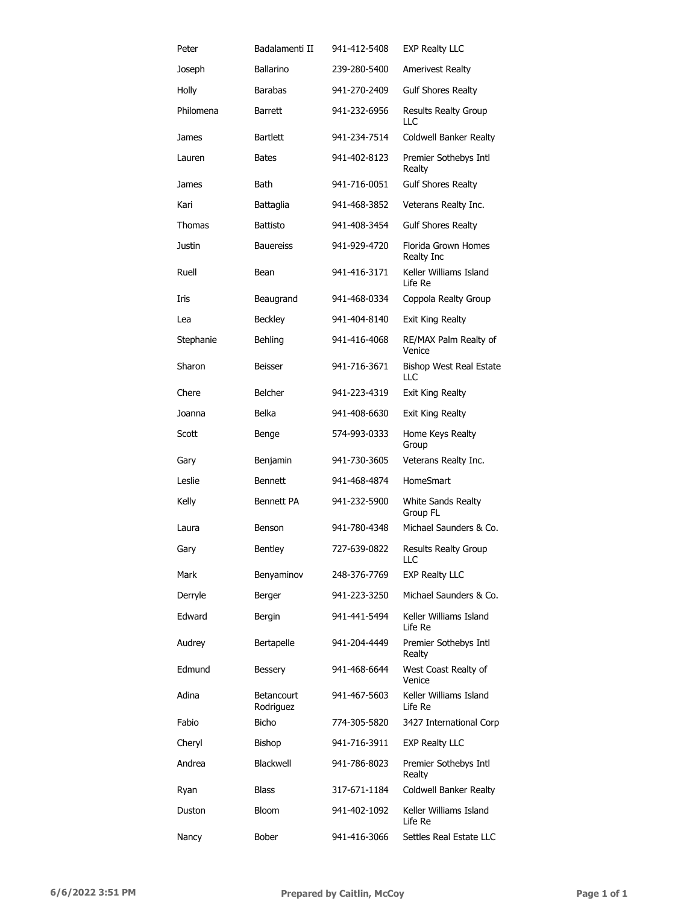| Peter     | Badalamenti II                 | 941-412-5408 | <b>EXP Realty LLC</b>              |
|-----------|--------------------------------|--------------|------------------------------------|
| Joseph    | Ballarino                      | 239-280-5400 | <b>Amerivest Realty</b>            |
| Holly     | <b>Barabas</b>                 | 941-270-2409 | <b>Gulf Shores Realty</b>          |
| Philomena | <b>Barrett</b>                 | 941-232-6956 | <b>Results Realty Group</b><br>LLC |
| James     | <b>Bartlett</b>                | 941-234-7514 | Coldwell Banker Realty             |
| Lauren    | <b>Bates</b>                   | 941-402-8123 | Premier Sothebys Intl<br>Realty    |
| James     | <b>Bath</b>                    | 941-716-0051 | <b>Gulf Shores Realty</b>          |
| Kari      | Battaglia                      | 941-468-3852 | Veterans Realty Inc.               |
| Thomas    | <b>Battisto</b>                | 941-408-3454 | <b>Gulf Shores Realty</b>          |
| Justin    | <b>Bauereiss</b>               | 941-929-4720 | Florida Grown Homes<br>Realty Inc  |
| Ruell     | Bean                           | 941-416-3171 | Keller Williams Island<br>Life Re  |
| Iris      | Beaugrand                      | 941-468-0334 | Coppola Realty Group               |
| Lea       | <b>Beckley</b>                 | 941-404-8140 | Exit King Realty                   |
| Stephanie | Behling                        | 941-416-4068 | RE/MAX Palm Realty of<br>Venice    |
| Sharon    | Beisser                        | 941-716-3671 | Bishop West Real Estate<br>LLC     |
| Chere     | <b>Belcher</b>                 | 941-223-4319 | Exit King Realty                   |
| Joanna    | <b>Belka</b>                   | 941-408-6630 | Exit King Realty                   |
| Scott     | Benge                          | 574-993-0333 | Home Keys Realty<br>Group          |
| Gary      | Benjamin                       | 941-730-3605 | Veterans Realty Inc.               |
| Leslie    | <b>Bennett</b>                 | 941-468-4874 | HomeSmart                          |
| Kelly     | Bennett PA                     | 941-232-5900 | White Sands Realty<br>Group FL     |
| Laura     | Benson                         | 941-780-4348 | Michael Saunders & Co.             |
| Gary      | Bentley                        | 727-639-0822 | Results Realty Group<br>LLC        |
| Mark      | Benyaminov                     | 248-376-7769 | <b>EXP Realty LLC</b>              |
| Derryle   | Berger                         | 941-223-3250 | Michael Saunders & Co.             |
| Edward    | <b>Bergin</b>                  | 941-441-5494 | Keller Williams Island<br>Life Re  |
| Audrey    | Bertapelle                     | 941-204-4449 | Premier Sothebys Intl<br>Realty    |
| Edmund    | <b>Bessery</b>                 | 941-468-6644 | West Coast Realty of<br>Venice     |
| Adina     | <b>Betancourt</b><br>Rodriguez | 941-467-5603 | Keller Williams Island<br>Life Re  |
| Fabio     | <b>Bicho</b>                   | 774-305-5820 | 3427 International Corp            |
| Cheryl    | Bishop                         | 941-716-3911 | <b>EXP Realty LLC</b>              |
| Andrea    | Blackwell                      | 941-786-8023 | Premier Sothebys Intl<br>Realty    |
| Ryan      | <b>Blass</b>                   | 317-671-1184 | Coldwell Banker Realty             |
| Duston    | <b>Bloom</b>                   | 941-402-1092 | Keller Williams Island<br>Life Re  |
| Nancy     | Bober                          | 941-416-3066 | Settles Real Estate LLC            |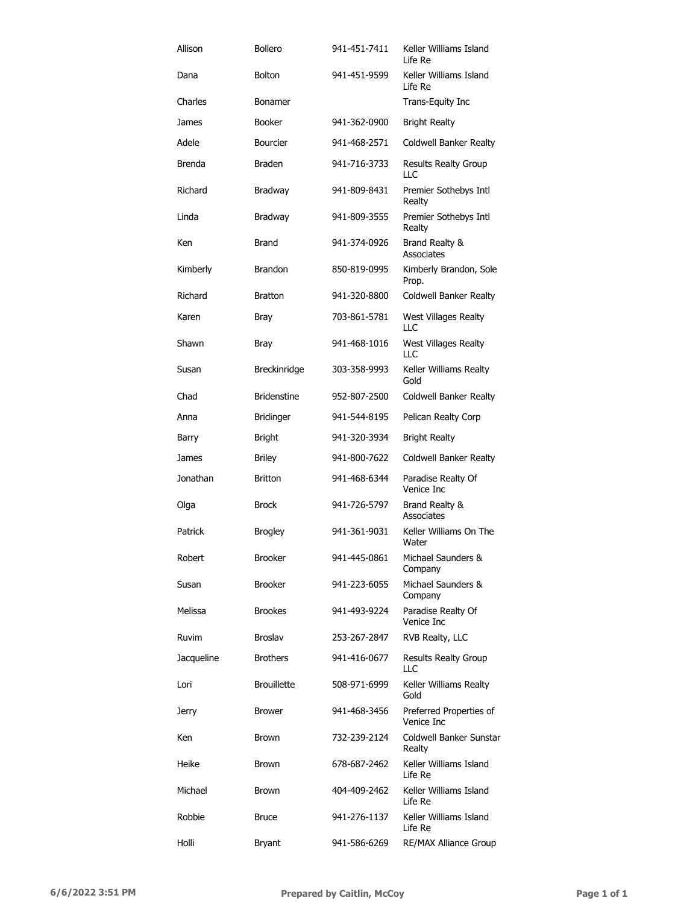| Allison    | <b>Bollero</b>     | 941-451-7411 | Keller Williams Island<br>Life Re     |
|------------|--------------------|--------------|---------------------------------------|
| Dana       | <b>Bolton</b>      | 941-451-9599 | Keller Williams Island<br>Life Re     |
| Charles    | <b>Bonamer</b>     |              | Trans-Equity Inc                      |
| James      | <b>Booker</b>      | 941-362-0900 | <b>Bright Realty</b>                  |
| Adele      | <b>Bourcier</b>    | 941-468-2571 | Coldwell Banker Realty                |
| Brenda     | <b>Braden</b>      | 941-716-3733 | Results Realty Group<br>LLC           |
| Richard    | Bradway            | 941-809-8431 | Premier Sothebys Intl<br>Realty       |
| Linda      | Bradway            | 941-809-3555 | Premier Sothebys Intl<br>Realty       |
| Ken        | <b>Brand</b>       | 941-374-0926 | Brand Realty &<br>Associates          |
| Kimberly   | <b>Brandon</b>     | 850-819-0995 | Kimberly Brandon, Sole<br>Prop.       |
| Richard    | <b>Bratton</b>     | 941-320-8800 | Coldwell Banker Realty                |
| Karen      | Bray               | 703-861-5781 | West Villages Realty<br>LLC           |
| Shawn      | Bray               | 941-468-1016 | <b>West Villages Realty</b><br>LLC    |
| Susan      | Breckinridge       | 303-358-9993 | Keller Williams Realty<br>Gold        |
| Chad       | <b>Bridenstine</b> | 952-807-2500 | Coldwell Banker Realty                |
| Anna       | <b>Bridinger</b>   | 941-544-8195 | Pelican Realty Corp                   |
| Barry      | <b>Bright</b>      | 941-320-3934 | <b>Bright Realty</b>                  |
| James      | <b>Briley</b>      | 941-800-7622 | Coldwell Banker Realty                |
| Jonathan   | <b>Britton</b>     | 941-468-6344 | Paradise Realty Of<br>Venice Inc      |
| Olga       | <b>Brock</b>       | 941-726-5797 | Brand Realty &<br>Associates          |
| Patrick    | <b>Brogley</b>     | 941-361-9031 | Keller Williams On The<br>Water       |
| Robert     | <b>Brooker</b>     | 941-445-0861 | Michael Saunders &<br>Company         |
| Susan      | <b>Brooker</b>     | 941-223-6055 | Michael Saunders &<br>Company         |
| Melissa    | <b>Brookes</b>     | 941-493-9224 | Paradise Realty Of<br>Venice Inc      |
| Ruvim      | <b>Broslav</b>     | 253-267-2847 | RVB Realty, LLC                       |
| Jacqueline | <b>Brothers</b>    | 941-416-0677 | <b>Results Realty Group</b><br>LLC    |
| Lori       | <b>Brouillette</b> | 508-971-6999 | Keller Williams Realty<br>Gold        |
| Jerry      | <b>Brower</b>      | 941-468-3456 | Preferred Properties of<br>Venice Inc |
| Ken        | <b>Brown</b>       | 732-239-2124 | Coldwell Banker Sunstar<br>Realty     |
| Heike      | <b>Brown</b>       | 678-687-2462 | Keller Williams Island<br>Life Re     |
| Michael    | <b>Brown</b>       | 404-409-2462 | Keller Williams Island<br>Life Re     |
| Robbie     | <b>Bruce</b>       | 941-276-1137 | Keller Williams Island<br>Life Re     |
| Holli      | <b>Bryant</b>      | 941-586-6269 | <b>RE/MAX Alliance Group</b>          |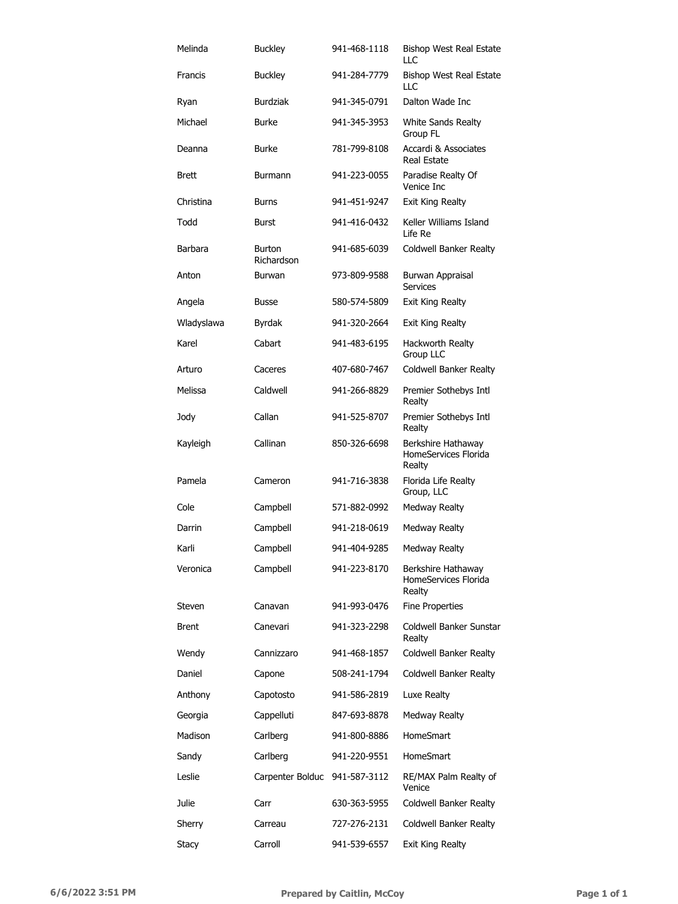| Melinda      | <b>Buckley</b>              | 941-468-1118 | Bishop West Real Estate<br>$\sqcup$ C                |
|--------------|-----------------------------|--------------|------------------------------------------------------|
| Francis      | <b>Buckley</b>              | 941-284-7779 | <b>Bishop West Real Estate</b><br>LLC                |
| Ryan         | <b>Burdziak</b>             | 941-345-0791 | Dalton Wade Inc                                      |
| Michael      | <b>Burke</b>                | 941-345-3953 | White Sands Realty<br>Group FL                       |
| Deanna       | <b>Burke</b>                | 781-799-8108 | Accardi & Associates<br>Real Estate                  |
| <b>Brett</b> | <b>Burmann</b>              | 941-223-0055 | Paradise Realty Of<br>Venice Inc                     |
| Christina    | <b>Burns</b>                | 941-451-9247 | Exit King Realty                                     |
| Todd         | <b>Burst</b>                | 941-416-0432 | Keller Williams Island<br>Life Re                    |
| Barbara      | <b>Burton</b><br>Richardson | 941-685-6039 | Coldwell Banker Realty                               |
| Anton        | Burwan                      | 973-809-9588 | Burwan Appraisal<br><b>Services</b>                  |
| Angela       | <b>Busse</b>                | 580-574-5809 | <b>Exit King Realty</b>                              |
| Wladyslawa   | Byrdak                      | 941-320-2664 | Exit King Realty                                     |
| Karel        | Cabart                      | 941-483-6195 | Hackworth Realty<br>Group LLC                        |
| Arturo       | Caceres                     | 407-680-7467 | Coldwell Banker Realty                               |
| Melissa      | Caldwell                    | 941-266-8829 | Premier Sothebys Intl<br>Realty                      |
| Jody         | Callan                      | 941-525-8707 | Premier Sothebys Intl<br>Realty                      |
| Kayleigh     | Callinan                    | 850-326-6698 | Berkshire Hathaway<br>HomeServices Florida<br>Realty |
| Pamela       | Cameron                     | 941-716-3838 | Florida Life Realty<br>Group, LLC                    |
| Cole         | Campbell                    | 571-882-0992 | Medway Realty                                        |
| Darrin       | Campbell                    | 941-218-0619 | Medway Realty                                        |
| Karli        | Campbell                    | 941-404-9285 | Medway Realty                                        |
| Veronica     | Campbell                    | 941-223-8170 | Berkshire Hathaway<br>HomeServices Florida<br>Realty |
| Steven       | Canavan                     | 941-993-0476 | <b>Fine Properties</b>                               |
| <b>Brent</b> | Canevari                    | 941-323-2298 | Coldwell Banker Sunstar<br>Realty                    |
| Wendy        | Cannizzaro                  | 941-468-1857 | Coldwell Banker Realty                               |
| Daniel       | Capone                      | 508-241-1794 | Coldwell Banker Realty                               |
| Anthony      | Capotosto                   | 941-586-2819 | Luxe Realty                                          |
| Georgia      | Cappelluti                  | 847-693-8878 | <b>Medway Realty</b>                                 |
| Madison      | Carlberg                    | 941-800-8886 | <b>HomeSmart</b>                                     |
| Sandy        | Carlberg                    | 941-220-9551 | <b>HomeSmart</b>                                     |
| Leslie       | Carpenter Bolduc            | 941-587-3112 | RE/MAX Palm Realty of<br>Venice                      |
| Julie        | Carr                        | 630-363-5955 | Coldwell Banker Realty                               |
| Sherry       | Carreau                     | 727-276-2131 | Coldwell Banker Realty                               |
| <b>Stacy</b> | Carroll                     | 941-539-6557 | Exit King Realty                                     |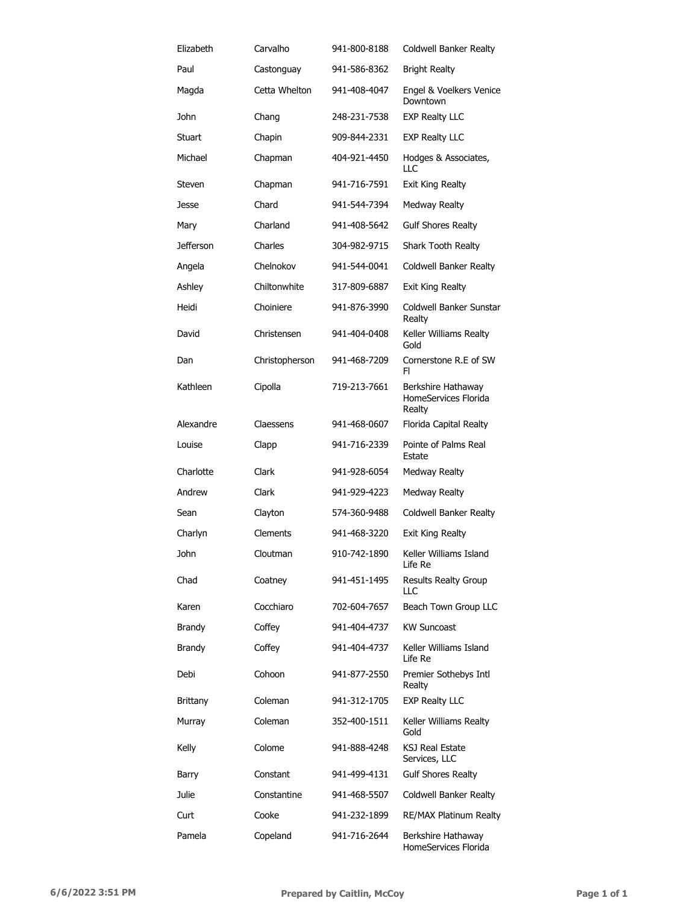| Elizabeth        | Carvalho       | 941-800-8188 | Coldwell Banker Realty                               |
|------------------|----------------|--------------|------------------------------------------------------|
| Paul             | Castonguay     | 941-586-8362 | <b>Bright Realty</b>                                 |
| Magda            | Cetta Whelton  | 941-408-4047 | Engel & Voelkers Venice<br>Downtown                  |
| John             | Chang          | 248-231-7538 | <b>EXP Realty LLC</b>                                |
| Stuart           | Chapin         | 909-844-2331 | <b>EXP Realty LLC</b>                                |
| Michael          | Chapman        | 404-921-4450 | Hodges & Associates,<br>ПC                           |
| Steven           | Chapman        | 941-716-7591 | Exit King Realty                                     |
| Jesse            | Chard          | 941-544-7394 | <b>Medway Realty</b>                                 |
| Mary             | Charland       | 941-408-5642 | <b>Gulf Shores Realty</b>                            |
| <b>Jefferson</b> | Charles        | 304-982-9715 | Shark Tooth Realty                                   |
| Angela           | Chelnokov      | 941-544-0041 | Coldwell Banker Realty                               |
| Ashley           | Chiltonwhite   | 317-809-6887 | <b>Exit King Realty</b>                              |
| Heidi            | Choiniere      | 941-876-3990 | Coldwell Banker Sunstar<br>Realty                    |
| David            | Christensen    | 941-404-0408 | Keller Williams Realty<br>Gold                       |
| Dan              | Christopherson | 941-468-7209 | Cornerstone R.E of SW<br>FI.                         |
| Kathleen         | Cipolla        | 719-213-7661 | Berkshire Hathaway<br>HomeServices Florida<br>Realty |
| Alexandre        | Claessens      | 941-468-0607 | Florida Capital Realty                               |
| Louise           | Clapp          | 941-716-2339 | Pointe of Palms Real<br>Estate                       |
| Charlotte        | Clark          | 941-928-6054 | <b>Medway Realty</b>                                 |
| Andrew           | Clark          | 941-929-4223 | <b>Medway Realty</b>                                 |
| Sean             | Clayton        | 574-360-9488 | Coldwell Banker Realty                               |
| Charlyn          | Clements       | 941-468-3220 | Exit King Realty                                     |
| John             | Cloutman       | 910-742-1890 | Keller Williams Island<br>Life Re                    |
| Chad             | Coatney        | 941-451-1495 | <b>Results Realty Group</b><br>LLC                   |
| Karen            | Cocchiaro      | 702-604-7657 | Beach Town Group LLC                                 |
| Brandy           | Coffey         | 941-404-4737 | <b>KW Suncoast</b>                                   |
| Brandy           | Coffey         | 941-404-4737 | Keller Williams Island<br>Life Re                    |
| Debi             | Cohoon         | 941-877-2550 | Premier Sothebys Intl<br>Realty                      |
| <b>Brittany</b>  | Coleman        | 941-312-1705 | <b>EXP Realty LLC</b>                                |
| Murray           | Coleman        | 352-400-1511 | Keller Williams Realty<br>Gold                       |
| Kelly            | Colome         | 941-888-4248 | KSJ Real Estate<br>Services, LLC                     |
| Barry            | Constant       | 941-499-4131 | <b>Gulf Shores Realty</b>                            |
| Julie            | Constantine    | 941-468-5507 | Coldwell Banker Realty                               |
| Curt             | Cooke          | 941-232-1899 | RE/MAX Platinum Realty                               |
| Pamela           | Copeland       | 941-716-2644 | Berkshire Hathaway<br>HomeServices Florida           |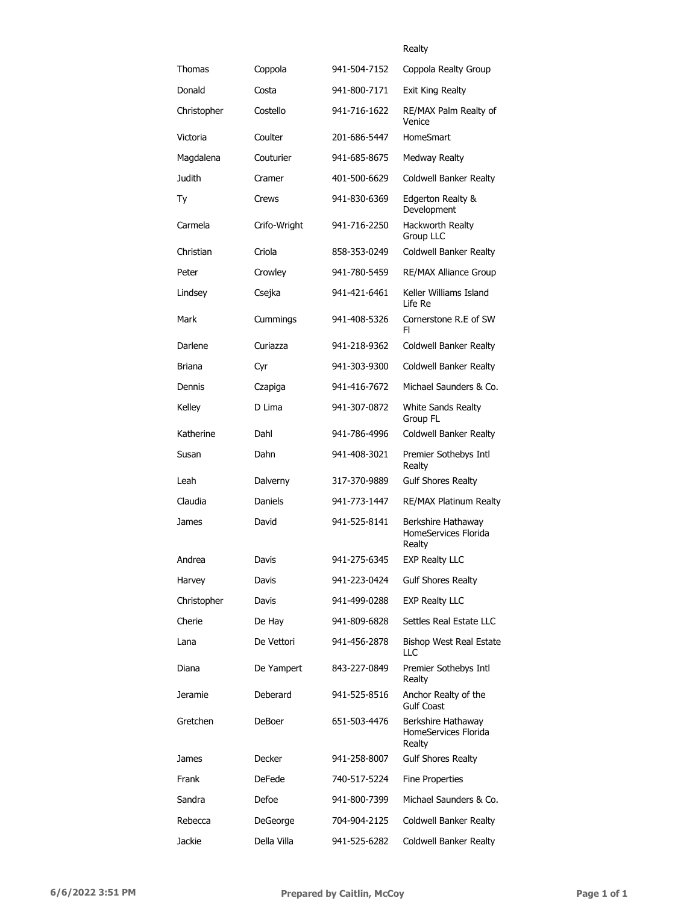### Realty

| Thomas      | Coppola      | 941-504-7152 | Coppola Realty Group                                 |
|-------------|--------------|--------------|------------------------------------------------------|
| Donald      | Costa        | 941-800-7171 | Exit King Realty                                     |
| Christopher | Costello     | 941-716-1622 | RE/MAX Palm Realty of<br>Venice                      |
| Victoria    | Coulter      | 201-686-5447 | HomeSmart                                            |
| Magdalena   | Couturier    | 941-685-8675 | Medway Realty                                        |
| Judith      | Cramer       | 401-500-6629 | <b>Coldwell Banker Realty</b>                        |
| Тy          | Crews        | 941-830-6369 | Edgerton Realty &<br>Development                     |
| Carmela     | Crifo-Wright | 941-716-2250 | Hackworth Realty<br>Group LLC                        |
| Christian   | Criola       | 858-353-0249 | Coldwell Banker Realty                               |
| Peter       | Crowley      | 941-780-5459 | <b>RE/MAX Alliance Group</b>                         |
| Lindsey     | Csejka       | 941-421-6461 | Keller Williams Island<br>Life Re                    |
| Mark        | Cummings     | 941-408-5326 | Cornerstone R.E of SW<br>FI.                         |
| Darlene     | Curiazza     | 941-218-9362 | Coldwell Banker Realty                               |
| Briana      | Cyr          | 941-303-9300 | Coldwell Banker Realty                               |
| Dennis      | Czapiga      | 941-416-7672 | Michael Saunders & Co.                               |
| Kelley      | D Lima       | 941-307-0872 | White Sands Realty<br>Group FL                       |
| Katherine   | Dahl         | 941-786-4996 | Coldwell Banker Realty                               |
| Susan       | Dahn         | 941-408-3021 | Premier Sothebys Intl<br>Realty                      |
| Leah        | Dalverny     | 317-370-9889 | <b>Gulf Shores Realty</b>                            |
| Claudia     | Daniels      | 941-773-1447 | <b>RE/MAX Platinum Realty</b>                        |
| James       | David        | 941-525-8141 | Berkshire Hathaway<br>HomeServices Florida<br>Realty |
| Andrea      | Davis        | 941-275-6345 | <b>EXP Realty LLC</b>                                |
| Harvey      | Davis        | 941-223-0424 | <b>Gulf Shores Realty</b>                            |
| Christopher | Davis        | 941-499-0288 | <b>EXP Realty LLC</b>                                |
| Cherie      | De Hay       | 941-809-6828 | Settles Real Estate LLC                              |
| Lana        | De Vettori   | 941-456-2878 | Bishop West Real Estate<br>LLC                       |
| Diana       | De Yampert   | 843-227-0849 | Premier Sothebys Intl<br>Realty                      |
| Jeramie     | Deberard     | 941-525-8516 | Anchor Realty of the<br><b>Gulf Coast</b>            |
| Gretchen    | DeBoer       | 651-503-4476 | Berkshire Hathaway<br>HomeServices Florida<br>Realty |
| James       | Decker       | 941-258-8007 | <b>Gulf Shores Realty</b>                            |
| Frank       | DeFede       | 740-517-5224 | <b>Fine Properties</b>                               |
| Sandra      | Defoe        | 941-800-7399 | Michael Saunders & Co.                               |
| Rebecca     | DeGeorge     | 704-904-2125 | Coldwell Banker Realty                               |
| Jackie      | Della Villa  | 941-525-6282 | Coldwell Banker Realty                               |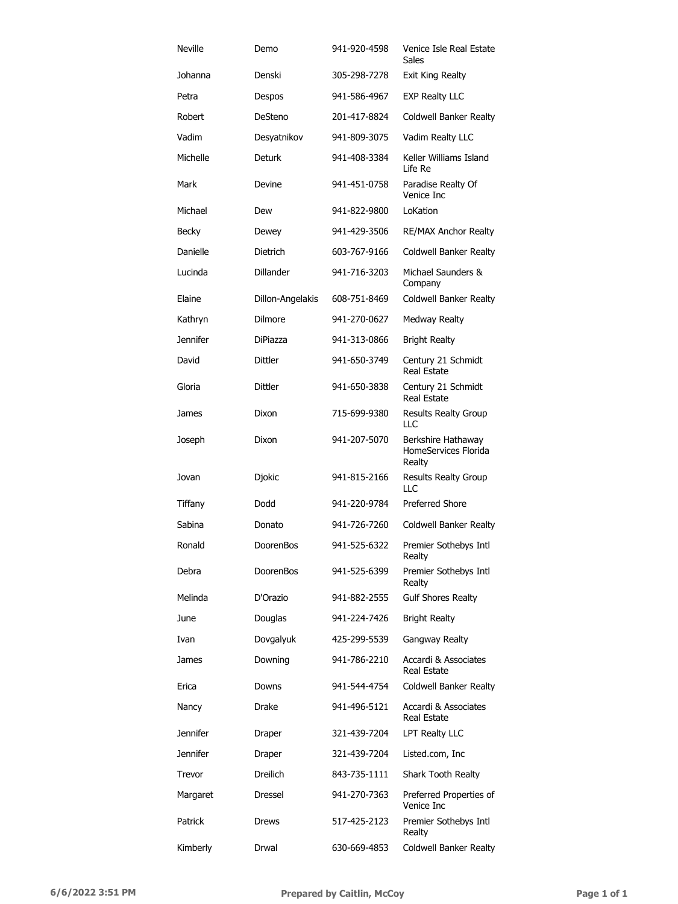| <b>Neville</b>  | Demo             | 941-920-4598 | Venice Isle Real Estate<br>Sales                     |
|-----------------|------------------|--------------|------------------------------------------------------|
| Johanna         | Denski           | 305-298-7278 | Exit King Realty                                     |
| Petra           | Despos           | 941-586-4967 | <b>EXP Realty LLC</b>                                |
| Robert          | DeSteno          | 201-417-8824 | Coldwell Banker Realty                               |
| Vadim           | Desyatnikov      | 941-809-3075 | Vadim Realty LLC                                     |
| Michelle        | <b>Deturk</b>    | 941-408-3384 | Keller Williams Island<br>Life Re                    |
| Mark            | Devine           | 941-451-0758 | Paradise Realty Of<br>Venice Inc                     |
| Michael         | Dew              | 941-822-9800 | LoKation                                             |
| Becky           | Dewey            | 941-429-3506 | <b>RE/MAX Anchor Realty</b>                          |
| Danielle        | Dietrich         | 603-767-9166 | Coldwell Banker Realty                               |
| Lucinda         | <b>Dillander</b> | 941-716-3203 | Michael Saunders &<br>Company                        |
| Elaine          | Dillon-Angelakis | 608-751-8469 | Coldwell Banker Realty                               |
| Kathryn         | Dilmore          | 941-270-0627 | Medway Realty                                        |
| <b>Jennifer</b> | <b>DiPiazza</b>  | 941-313-0866 | <b>Bright Realty</b>                                 |
| David           | Dittler          | 941-650-3749 | Century 21 Schmidt<br><b>Real Estate</b>             |
| Gloria          | Dittler          | 941-650-3838 | Century 21 Schmidt<br><b>Real Estate</b>             |
| James           | Dixon            | 715-699-9380 | <b>Results Realty Group</b><br>LLC                   |
| Joseph          | Dixon            | 941-207-5070 | Berkshire Hathaway<br>HomeServices Florida<br>Realty |
| Jovan           | Djokic           | 941-815-2166 | Results Realty Group<br><b>LLC</b>                   |
| Tiffany         | Dodd             | 941-220-9784 | <b>Preferred Shore</b>                               |
| Sabina          | Donato           | 941-726-7260 | Coldwell Banker Realty                               |
| Ronald          | DoorenBos        | 941-525-6322 | Premier Sothebys Intl<br>Realty                      |
| Debra           | DoorenBos        | 941-525-6399 | Premier Sothebys Intl<br>Realty                      |
| Melinda         | D'Orazio         | 941-882-2555 | <b>Gulf Shores Realty</b>                            |
| June            | Douglas          | 941-224-7426 | <b>Bright Realty</b>                                 |
| Ivan            | Dovgalyuk        | 425-299-5539 | Gangway Realty                                       |
| James           | Downing          | 941-786-2210 | Accardi & Associates<br>Real Estate                  |
| Erica           | Downs            | 941-544-4754 | Coldwell Banker Realty                               |
| Nancy           | Drake            | 941-496-5121 | Accardi & Associates<br><b>Real Estate</b>           |
| <b>Jennifer</b> | Draper           | 321-439-7204 | LPT Realty LLC                                       |
| <b>Jennifer</b> | Draper           | 321-439-7204 | Listed.com, Inc                                      |
| Trevor          | <b>Dreilich</b>  | 843-735-1111 | Shark Tooth Realty                                   |
| Margaret        | Dressel          | 941-270-7363 | Preferred Properties of<br>Venice Inc.               |
| Patrick         | Drews            | 517-425-2123 | Premier Sothebys Intl<br>Realty                      |
| Kimberly        | Drwal            | 630-669-4853 | Coldwell Banker Realty                               |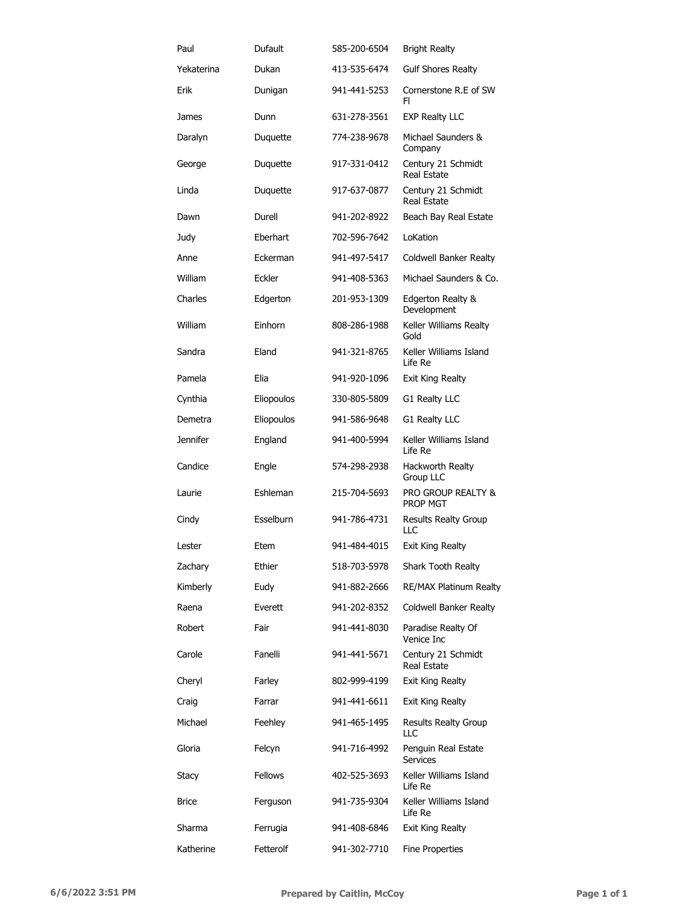| Paul            | Dufault        | 585-200-6504 | <b>Bright Realty</b>                     |
|-----------------|----------------|--------------|------------------------------------------|
| Yekaterina      | Dukan          | 413-535-6474 | <b>Gulf Shores Realty</b>                |
| Erik            | Dunigan        | 941-441-5253 | Cornerstone R.E of SW<br>FI.             |
| James           | Dunn           | 631-278-3561 | <b>EXP Realty LLC</b>                    |
| Daralyn         | Duquette       | 774-238-9678 | Michael Saunders &<br>Company            |
| George          | Duquette       | 917-331-0412 | Century 21 Schmidt<br>Real Estate        |
| Linda           | Duquette       | 917-637-0877 | Century 21 Schmidt<br>Real Estate        |
| Dawn            | Durell         | 941-202-8922 | Beach Bay Real Estate                    |
| Judy            | Eberhart       | 702-596-7642 | LoKation                                 |
| Anne            | Eckerman       | 941-497-5417 | Coldwell Banker Realty                   |
| William         | Eckler         | 941-408-5363 | Michael Saunders & Co.                   |
| Charles         | Edgerton       | 201-953-1309 | Edgerton Realty &<br>Development         |
| William         | Einhorn        | 808-286-1988 | Keller Williams Realty<br>Gold           |
| Sandra          | Eland          | 941-321-8765 | Keller Williams Island<br>Life Re        |
| Pamela          | Elia           | 941-920-1096 | Exit King Realty                         |
| Cynthia         | Eliopoulos     | 330-805-5809 | G1 Realty LLC                            |
| Demetra         | Eliopoulos     | 941-586-9648 | G1 Realty LLC                            |
| <b>Jennifer</b> | England        | 941-400-5994 | Keller Williams Island<br>Life Re        |
| Candice         | Engle          | 574-298-2938 | Hackworth Realty<br>Group LLC            |
| Laurie          | Eshleman       | 215-704-5693 | PRO GROUP REALTY &<br><b>PROP MGT</b>    |
| Cindy           | Esselburn      | 941-786-4731 | <b>Results Realty Group</b><br>LLC       |
| Lester          | Etem           | 941-484-4015 | Exit King Realty                         |
| Zachary         | Ethier         | 518-703-5978 | Shark Tooth Realty                       |
| Kimberly        | Eudy           | 941-882-2666 | RE/MAX Platinum Realty                   |
| Raena           | Everett        | 941-202-8352 | Coldwell Banker Realty                   |
| Robert          | Fair           | 941-441-8030 | Paradise Realty Of<br>Venice Inc.        |
| Carole          | Fanelli        | 941-441-5671 | Century 21 Schmidt<br><b>Real Estate</b> |
| Cheryl          | Farley         | 802-999-4199 | Exit King Realty                         |
| Craig           | Farrar         | 941-441-6611 | Exit King Realty                         |
| Michael         | Feehley        | 941-465-1495 | <b>Results Realty Group</b><br>LLC       |
| Gloria          | Felcyn         | 941-716-4992 | Penguin Real Estate<br><b>Services</b>   |
| Stacy           | <b>Fellows</b> | 402-525-3693 | Keller Williams Island<br>Life Re        |
| <b>Brice</b>    | Ferguson       | 941-735-9304 | Keller Williams Island<br>Life Re        |
| Sharma          | Ferrugia       | 941-408-6846 | <b>Exit King Realty</b>                  |
| Katherine       | Fetterolf      | 941-302-7710 | Fine Properties                          |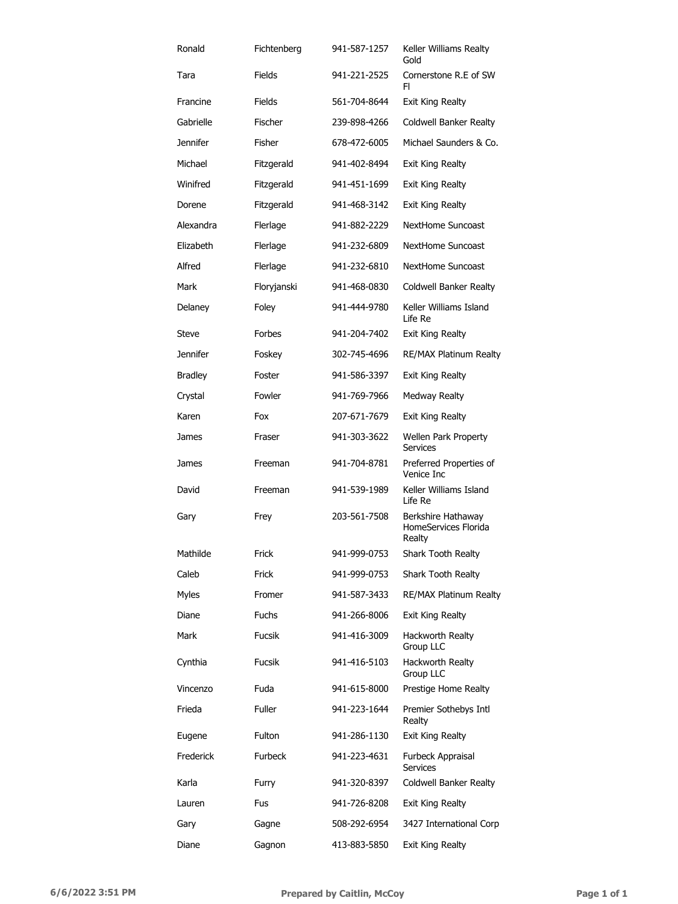| Ronald          | Fichtenberg    | 941-587-1257 | Keller Williams Realty<br>Gold                       |
|-----------------|----------------|--------------|------------------------------------------------------|
| Tara            | Fields         | 941-221-2525 | Cornerstone R.E of SW<br>FI                          |
| Francine        | Fields         | 561-704-8644 | <b>Exit King Realty</b>                              |
| Gabrielle       | Fischer        | 239-898-4266 | Coldwell Banker Realty                               |
| <b>Jennifer</b> | Fisher         | 678-472-6005 | Michael Saunders & Co.                               |
| Michael         | Fitzgerald     | 941-402-8494 | <b>Exit King Realty</b>                              |
| Winifred        | Fitzgerald     | 941-451-1699 | <b>Exit King Realty</b>                              |
| Dorene          | Fitzgerald     | 941-468-3142 | Exit King Realty                                     |
| Alexandra       | Flerlage       | 941-882-2229 | NextHome Suncoast                                    |
| Elizabeth       | Flerlage       | 941-232-6809 | NextHome Suncoast                                    |
| Alfred          | Flerlage       | 941-232-6810 | NextHome Suncoast                                    |
| Mark            | Floryjanski    | 941-468-0830 | Coldwell Banker Realty                               |
| Delaney         | Foley          | 941-444-9780 | Keller Williams Island<br>Life Re                    |
| Steve           | Forbes         | 941-204-7402 | Exit King Realty                                     |
| <b>Jennifer</b> | Foskey         | 302-745-4696 | RE/MAX Platinum Realty                               |
| <b>Bradley</b>  | Foster         | 941-586-3397 | Exit King Realty                                     |
| Crystal         | Fowler         | 941-769-7966 | Medway Realty                                        |
| Karen           | Fox            | 207-671-7679 | Exit King Realty                                     |
| James           | Fraser         | 941-303-3622 | Wellen Park Property<br><b>Services</b>              |
| James           | Freeman        | 941-704-8781 | Preferred Properties of<br>Venice Inc                |
| David           | Freeman        | 941-539-1989 | Keller Williams Island<br>Life Re                    |
| Gary            | Frey           | 203-561-7508 | Berkshire Hathaway<br>HomeServices Florida<br>Realty |
| Mathilde        | Frick          | 941-999-0753 | Shark Tooth Realty                                   |
| Caleb           | Frick          | 941-999-0753 | Shark Tooth Realty                                   |
| <b>Myles</b>    | Fromer         | 941-587-3433 | RE/MAX Platinum Realty                               |
| Diane           | <b>Fuchs</b>   | 941-266-8006 | Exit King Realty                                     |
| Mark            | <b>Fucsik</b>  | 941-416-3009 | Hackworth Realty<br>Group LLC                        |
| Cynthia         | <b>Fucsik</b>  | 941-416-5103 | Hackworth Realty<br>Group LLC                        |
| Vincenzo        | Fuda           | 941-615-8000 | Prestige Home Realty                                 |
| Frieda          | <b>Fuller</b>  | 941-223-1644 | Premier Sothebys Intl<br>Realty                      |
| Eugene          | Fulton         | 941-286-1130 | Exit King Realty                                     |
| Frederick       | <b>Furbeck</b> | 941-223-4631 | Furbeck Appraisal<br><b>Services</b>                 |
| Karla           | Furry          | 941-320-8397 | Coldwell Banker Realty                               |
| Lauren          | Fus            | 941-726-8208 | <b>Exit King Realty</b>                              |
| Gary            | Gagne          | 508-292-6954 | 3427 International Corp                              |
| Diane           | Gagnon         | 413-883-5850 | <b>Exit King Realty</b>                              |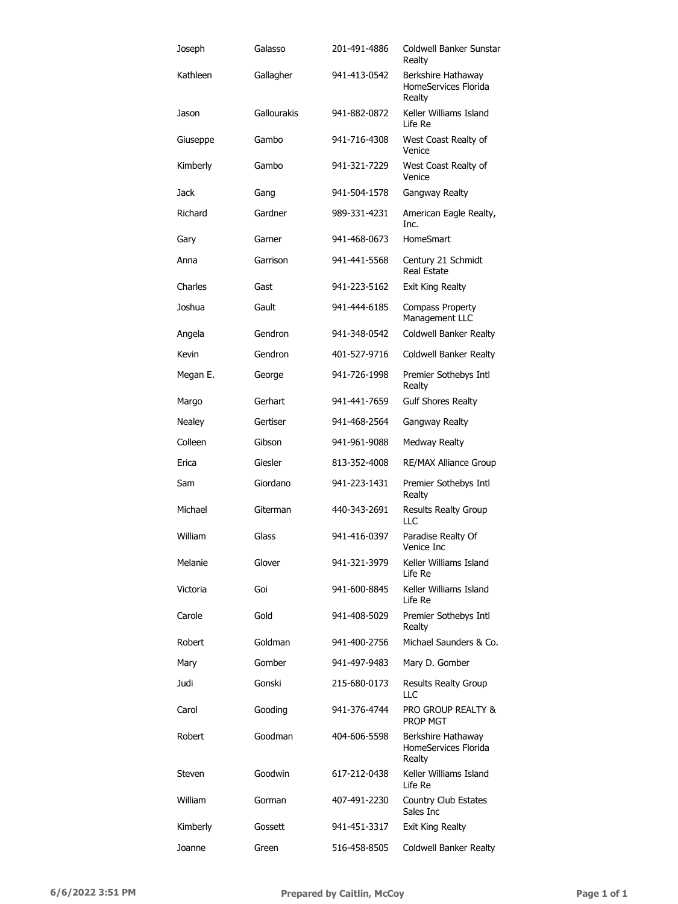| Joseph   | Galasso     | 201-491-4886 | Coldwell Banker Sunstar<br>Realty                    |
|----------|-------------|--------------|------------------------------------------------------|
| Kathleen | Gallagher   | 941-413-0542 | Berkshire Hathaway<br>HomeServices Florida<br>Realty |
| Jason    | Gallourakis | 941-882-0872 | Keller Williams Island<br>Life Re                    |
| Giuseppe | Gambo       | 941-716-4308 | West Coast Realty of<br>Venice                       |
| Kimberly | Gambo       | 941-321-7229 | West Coast Realty of<br>Venice                       |
| Jack     | Gang        | 941-504-1578 | Gangway Realty                                       |
| Richard  | Gardner     | 989-331-4231 | American Eagle Realty,<br>Inc.                       |
| Gary     | Garner      | 941-468-0673 | <b>HomeSmart</b>                                     |
| Anna     | Garrison    | 941-441-5568 | Century 21 Schmidt<br><b>Real Estate</b>             |
| Charles  | Gast        | 941-223-5162 | <b>Exit King Realty</b>                              |
| Joshua   | Gault       | 941-444-6185 | <b>Compass Property</b><br>Management LLC            |
| Angela   | Gendron     | 941-348-0542 | <b>Coldwell Banker Realty</b>                        |
| Kevin    | Gendron     | 401-527-9716 | Coldwell Banker Realty                               |
| Megan E. | George      | 941-726-1998 | Premier Sothebys Intl<br>Realty                      |
| Margo    | Gerhart     | 941-441-7659 | <b>Gulf Shores Realty</b>                            |
| Nealey   | Gertiser    | 941-468-2564 | Gangway Realty                                       |
| Colleen  | Gibson      | 941-961-9088 | Medway Realty                                        |
| Erica    | Giesler     | 813-352-4008 | RE/MAX Alliance Group                                |
| Sam      | Giordano    | 941-223-1431 | Premier Sothebys Intl<br>Realty                      |
| Michael  | Giterman    | 440-343-2691 | <b>Results Realty Group</b><br>LLC                   |
| William  | Glass       | 941-416-0397 | Paradise Realty Of<br>Venice Inc                     |
| Melanie  | Glover      | 941-321-3979 | Keller Williams Island<br>Life Re                    |
| Victoria | Goi         | 941-600-8845 | Keller Williams Island<br>Life Re                    |
| Carole   | Gold        | 941-408-5029 | Premier Sothebys Intl<br>Realty                      |
| Robert   | Goldman     | 941-400-2756 | Michael Saunders & Co.                               |
| Mary     | Gomber      | 941-497-9483 | Mary D. Gomber                                       |
| Judi     | Gonski      | 215-680-0173 | Results Realty Group<br>LLC                          |
| Carol    | Gooding     | 941-376-4744 | <b>PRO GROUP REALTY &amp;</b><br>PROP MGT            |
| Robert   | Goodman     | 404-606-5598 | Berkshire Hathaway<br>HomeServices Florida<br>Realty |
| Steven   | Goodwin     | 617-212-0438 | Keller Williams Island<br>Life Re                    |
| William  | Gorman      | 407-491-2230 | Country Club Estates<br>Sales Inc                    |
| Kimberly | Gossett     | 941-451-3317 | <b>Exit King Realty</b>                              |
| Joanne   | Green       | 516-458-8505 | Coldwell Banker Realty                               |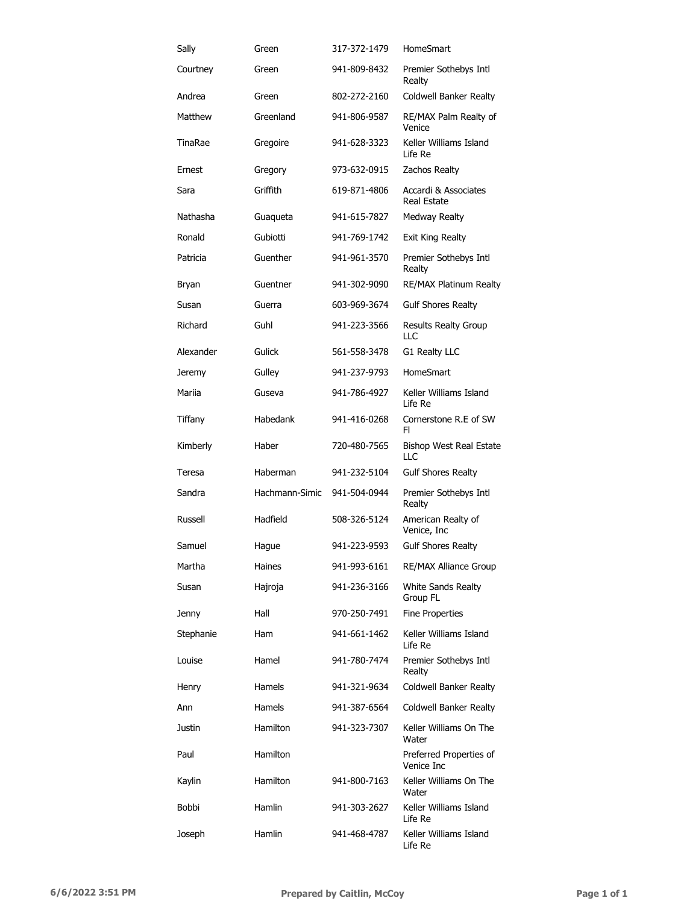| Sally     | Green          | 317-372-1479 | HomeSmart                                  |
|-----------|----------------|--------------|--------------------------------------------|
| Courtney  | Green          | 941-809-8432 | Premier Sothebys Intl<br>Realty            |
| Andrea    | Green          | 802-272-2160 | Coldwell Banker Realty                     |
| Matthew   | Greenland      | 941-806-9587 | RE/MAX Palm Realty of<br>Venice            |
| TinaRae   | Gregoire       | 941-628-3323 | Keller Williams Island<br>Life Re          |
| Ernest    | Gregory        | 973-632-0915 | Zachos Realty                              |
| Sara      | Griffith       | 619-871-4806 | Accardi & Associates<br><b>Real Estate</b> |
| Nathasha  | Guaqueta       | 941-615-7827 | Medway Realty                              |
| Ronald    | Gubiotti       | 941-769-1742 | Exit King Realty                           |
| Patricia  | Guenther       | 941-961-3570 | Premier Sothebys Intl<br>Realty            |
| Bryan     | Guentner       | 941-302-9090 | <b>RE/MAX Platinum Realty</b>              |
| Susan     | Guerra         | 603-969-3674 | <b>Gulf Shores Realty</b>                  |
| Richard   | Guhl           | 941-223-3566 | <b>Results Realty Group</b><br>LLC         |
| Alexander | Gulick         | 561-558-3478 | G1 Realty LLC                              |
| Jeremy    | Gulley         | 941-237-9793 | HomeSmart                                  |
| Mariia    | Guseva         | 941-786-4927 | Keller Williams Island<br>Life Re          |
| Tiffany   | Habedank       | 941-416-0268 | Cornerstone R.E of SW<br>FI                |
| Kimberly  | Haber          | 720-480-7565 | <b>Bishop West Real Estate</b><br>LLC      |
| Teresa    | Haberman       | 941-232-5104 | <b>Gulf Shores Realty</b>                  |
| Sandra    | Hachmann-Simic | 941-504-0944 | Premier Sothebys Intl<br>Realty            |
| Russell   | Hadfield       | 508-326-5124 | American Realty of<br>Venice, Inc          |
| Samuel    | Hague          | 941-223-9593 | <b>Gulf Shores Realty</b>                  |
| Martha    | Haines         | 941-993-6161 | <b>RE/MAX Alliance Group</b>               |
| Susan     | Hajroja        | 941-236-3166 | <b>White Sands Realty</b><br>Group FL      |
| Jenny     | Hall           | 970-250-7491 | <b>Fine Properties</b>                     |
| Stephanie | Ham            | 941-661-1462 | Keller Williams Island<br>Life Re          |
| Louise    | Hamel          | 941-780-7474 | Premier Sothebys Intl<br>Realty            |
| Henry     | Hamels         | 941-321-9634 | <b>Coldwell Banker Realty</b>              |
| Ann       | Hamels         | 941-387-6564 | Coldwell Banker Realty                     |
| Justin    | Hamilton       | 941-323-7307 | Keller Williams On The<br>Water            |
| Paul      | Hamilton       |              | Preferred Properties of<br>Venice Inc      |
| Kaylin    | Hamilton       | 941-800-7163 | Keller Williams On The<br>Water            |
| Bobbi     | Hamlin         | 941-303-2627 | Keller Williams Island<br>Life Re          |
| Joseph    | Hamlin         | 941-468-4787 | Keller Williams Island<br>Life Re          |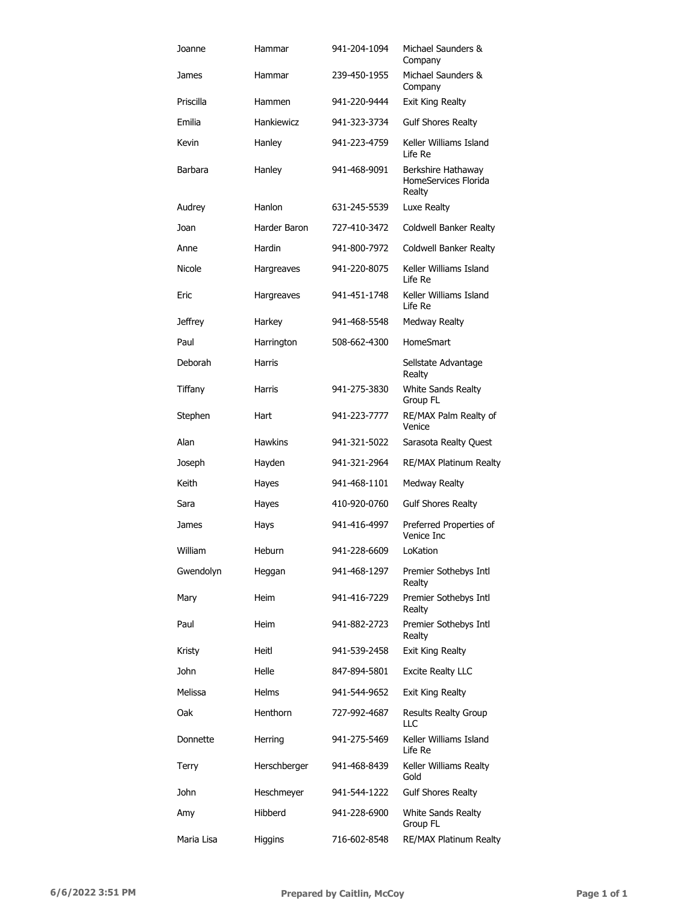| Joanne     | Hammar          | 941-204-1094 | Michael Saunders &<br>Company                        |
|------------|-----------------|--------------|------------------------------------------------------|
| James      | Hammar          | 239-450-1955 | Michael Saunders &<br>Company                        |
| Priscilla  | Hammen          | 941-220-9444 | Exit King Realty                                     |
| Emilia     | Hankiewicz      | 941-323-3734 | <b>Gulf Shores Realty</b>                            |
| Kevin      | Hanley          | 941-223-4759 | Keller Williams Island<br>Life Re                    |
| Barbara    | Hanley          | 941-468-9091 | Berkshire Hathaway<br>HomeServices Florida<br>Realty |
| Audrey     | Hanlon          | 631-245-5539 | Luxe Realty                                          |
| Joan       | Harder Baron    | 727-410-3472 | Coldwell Banker Realty                               |
| Anne       | Hardin          | 941-800-7972 | Coldwell Banker Realty                               |
| Nicole     | Hargreaves      | 941-220-8075 | Keller Williams Island<br>Life Re                    |
| Eric       | Hargreaves      | 941-451-1748 | Keller Williams Island<br>Life Re                    |
| Jeffrey    | Harkey          | 941-468-5548 | <b>Medway Realty</b>                                 |
| Paul       | Harrington      | 508-662-4300 | HomeSmart                                            |
| Deborah    | Harris          |              | Sellstate Advantage<br>Realty                        |
| Tiffany    | Harris          | 941-275-3830 | White Sands Realty<br>Group FL                       |
| Stephen    | Hart            | 941-223-7777 | RE/MAX Palm Realty of<br>Venice                      |
| Alan       | <b>Hawkins</b>  | 941-321-5022 | Sarasota Realty Quest                                |
| Joseph     | Hayden          | 941-321-2964 | RE/MAX Platinum Realty                               |
| Keith      | Hayes           | 941-468-1101 | <b>Medway Realty</b>                                 |
| Sara       | Hayes           | 410-920-0760 | <b>Gulf Shores Realty</b>                            |
| James      | Hays            | 941-416-4997 | Preferred Properties of<br>Venice Inc                |
| William    | Heburn          | 941-228-6609 | LoKation                                             |
| Gwendolyn  | Heggan          | 941-468-1297 | Premier Sothebys Intl<br>Realty                      |
| Mary       | Heim            | 941-416-7229 | Premier Sothebys Intl<br>Realty                      |
| Paul       | Heim            | 941-882-2723 | Premier Sothebys Intl<br>Realty                      |
| Kristy     | Heitl           | 941-539-2458 | <b>Exit King Realty</b>                              |
| John       | Helle           | 847-894-5801 | <b>Excite Realty LLC</b>                             |
| Melissa    | <b>Helms</b>    | 941-544-9652 | Exit King Realty                                     |
| Oak        | <b>Henthorn</b> | 727-992-4687 | <b>Results Realty Group</b><br>LLC                   |
| Donnette   | Herring         | 941-275-5469 | Keller Williams Island<br>Life Re                    |
| Terry      | Herschberger    | 941-468-8439 | Keller Williams Realty<br>Gold                       |
| John       | Heschmeyer      | 941-544-1222 | <b>Gulf Shores Realty</b>                            |
| Amy        | Hibberd         | 941-228-6900 | White Sands Realty<br>Group FL                       |
| Maria Lisa | <b>Higgins</b>  | 716-602-8548 | RE/MAX Platinum Realty                               |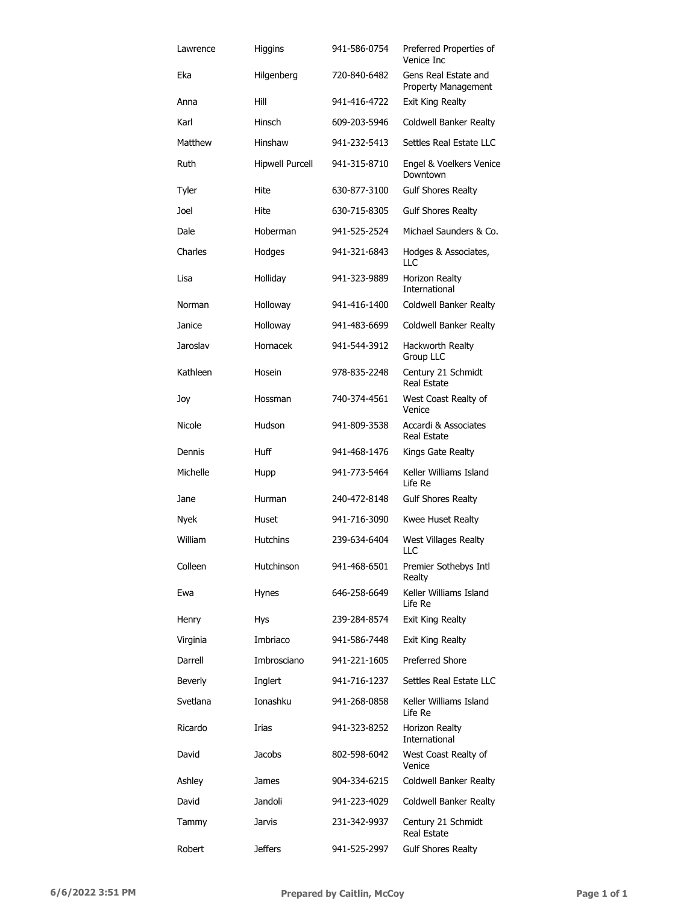| Lawrence       | Higgins                | 941-586-0754 | Preferred Properties of<br>Venice Inc       |
|----------------|------------------------|--------------|---------------------------------------------|
| Eka            | Hilgenberg             | 720-840-6482 | Gens Real Estate and<br>Property Management |
| Anna           | Hill                   | 941-416-4722 | Exit King Realty                            |
| Karl           | Hinsch                 | 609-203-5946 | Coldwell Banker Realty                      |
| Matthew        | Hinshaw                | 941-232-5413 | Settles Real Estate LLC                     |
| Ruth           | <b>Hipwell Purcell</b> | 941-315-8710 | Engel & Voelkers Venice<br>Downtown         |
| Tyler          | Hite                   | 630-877-3100 | <b>Gulf Shores Realty</b>                   |
| Joel           | Hite                   | 630-715-8305 | <b>Gulf Shores Realty</b>                   |
| Dale           | Hoberman               | 941-525-2524 | Michael Saunders & Co.                      |
| Charles        | Hodges                 | 941-321-6843 | Hodges & Associates,<br>LLC                 |
| Lisa           | Holliday               | 941-323-9889 | Horizon Realty<br><b>International</b>      |
| Norman         | Holloway               | 941-416-1400 | Coldwell Banker Realty                      |
| Janice         | Holloway               | 941-483-6699 | Coldwell Banker Realty                      |
| Jaroslav       | Hornacek               | 941-544-3912 | Hackworth Realty<br>Group LLC               |
| Kathleen       | Hosein                 | 978-835-2248 | Century 21 Schmidt<br>Real Estate           |
| Joy            | Hossman                | 740-374-4561 | West Coast Realty of<br>Venice              |
| Nicole         | Hudson                 | 941-809-3538 | Accardi & Associates<br><b>Real Estate</b>  |
| Dennis         | Huff                   | 941-468-1476 | Kings Gate Realty                           |
| Michelle       | Hupp                   | 941-773-5464 | Keller Williams Island<br>Life Re           |
| Jane           | Hurman                 | 240-472-8148 | <b>Gulf Shores Realty</b>                   |
| <b>Nyek</b>    | Huset                  | 941-716-3090 | Kwee Huset Realty                           |
| William        | <b>Hutchins</b>        | 239-634-6404 | West Villages Realty<br>HC.                 |
| Colleen        | Hutchinson             | 941-468-6501 | Premier Sothebys Intl<br>Realty             |
| Ewa            | Hynes                  | 646-258-6649 | Keller Williams Island<br>Life Re           |
| Henry          | Hys                    | 239-284-8574 | Exit King Realty                            |
| Virginia       | Imbriaco               | 941-586-7448 | Exit King Realty                            |
| Darrell        | Imbrosciano            | 941-221-1605 | <b>Preferred Shore</b>                      |
| <b>Beverly</b> | Inglert                | 941-716-1237 | Settles Real Estate LLC                     |
| Svetlana       | Ionashku               | 941-268-0858 | Keller Williams Island<br>Life Re           |
| Ricardo        | Irias                  | 941-323-8252 | Horizon Realty<br>International             |
| David          | Jacobs                 | 802-598-6042 | West Coast Realty of<br>Venice              |
| Ashley         | James                  | 904-334-6215 | Coldwell Banker Realty                      |
| David          | Jandoli                | 941-223-4029 | Coldwell Banker Realty                      |
| Tammy          | Jarvis                 | 231-342-9937 | Century 21 Schmidt<br>Real Estate           |
| Robert         | <b>Jeffers</b>         | 941-525-2997 | <b>Gulf Shores Realty</b>                   |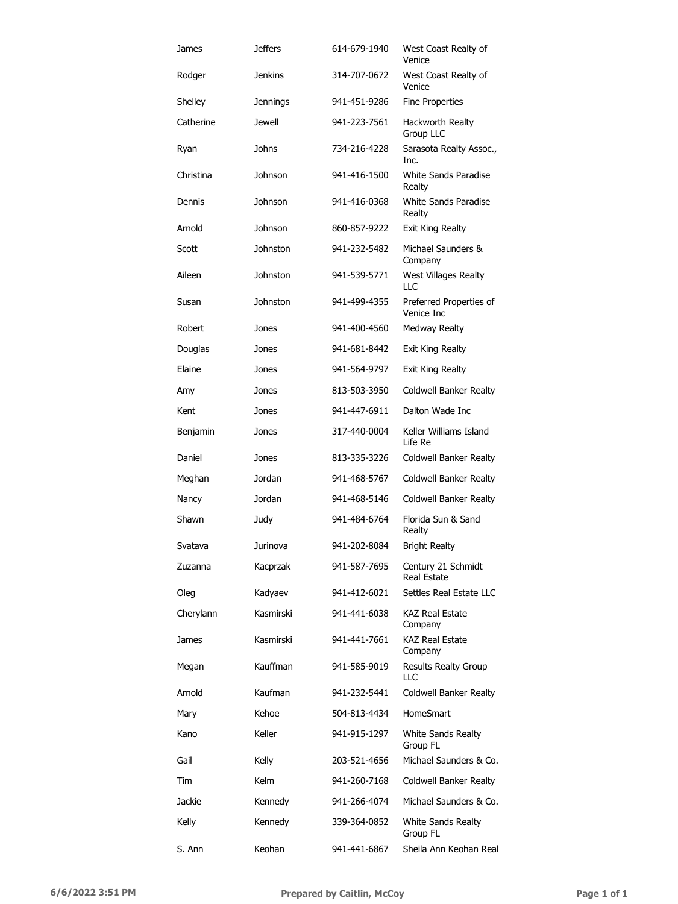| James     | <b>Jeffers</b>  | 614-679-1940 | West Coast Realty of<br>Venice        |
|-----------|-----------------|--------------|---------------------------------------|
| Rodger    | <b>Jenkins</b>  | 314-707-0672 | West Coast Realty of<br>Venice        |
| Shelley   | <b>Jennings</b> | 941-451-9286 | Fine Properties                       |
| Catherine | <b>Jewell</b>   | 941-223-7561 | Hackworth Realty<br>Group LLC         |
| Ryan      | Johns           | 734-216-4228 | Sarasota Realty Assoc.,<br>Inc.       |
| Christina | Johnson         | 941-416-1500 | White Sands Paradise<br>Realty        |
| Dennis    | Johnson         | 941-416-0368 | White Sands Paradise<br>Realty        |
| Arnold    | Johnson         | 860-857-9222 | Exit King Realty                      |
| Scott     | Johnston        | 941-232-5482 | Michael Saunders &<br>Company         |
| Aileen    | Johnston        | 941-539-5771 | West Villages Realty<br>LLC           |
| Susan     | <b>Johnston</b> | 941-499-4355 | Preferred Properties of<br>Venice Inc |
| Robert    | Jones           | 941-400-4560 | Medway Realty                         |
| Douglas   | Jones           | 941-681-8442 | Exit King Realty                      |
| Elaine    | Jones           | 941-564-9797 | Exit King Realty                      |
| Amy       | Jones           | 813-503-3950 | Coldwell Banker Realty                |
| Kent      | Jones           | 941-447-6911 | Dalton Wade Inc                       |
| Benjamin  | Jones           | 317-440-0004 | Keller Williams Island<br>Life Re     |
| Daniel    | Jones           | 813-335-3226 | Coldwell Banker Realty                |
| Meghan    | Jordan          | 941-468-5767 | Coldwell Banker Realty                |
| Nancy     | Jordan          | 941-468-5146 | Coldwell Banker Realty                |
| Shawn     | Judy            | 941-484-6764 | Florida Sun & Sand<br>Realty          |
| Svatava   | Jurinova        | 941-202-8084 | <b>Bright Realty</b>                  |
| Zuzanna   | Kacprzak        | 941-587-7695 | Century 21 Schmidt<br>Real Estate     |
| Oleg      | Kadyaev         | 941-412-6021 | Settles Real Estate LLC               |
| Cherylann | Kasmirski       | 941-441-6038 | <b>KAZ Real Estate</b><br>Company     |
| James     | Kasmirski       | 941-441-7661 | KAZ Real Estate<br>Company            |
| Megan     | Kauffman        | 941-585-9019 | <b>Results Realty Group</b><br>LLC    |
| Arnold    | Kaufman         | 941-232-5441 | <b>Coldwell Banker Realty</b>         |
| Mary      | Kehoe           | 504-813-4434 | HomeSmart                             |
| Kano      | Keller          | 941-915-1297 | White Sands Realty<br>Group FL        |
| Gail      | Kelly           | 203-521-4656 | Michael Saunders & Co.                |
| Tim       | Kelm            | 941-260-7168 | Coldwell Banker Realty                |
| Jackie    | Kennedy         | 941-266-4074 | Michael Saunders & Co.                |
| Kelly     | Kennedy         | 339-364-0852 | White Sands Realty<br>Group FL        |
| S. Ann    | Keohan          | 941-441-6867 | Sheila Ann Keohan Real                |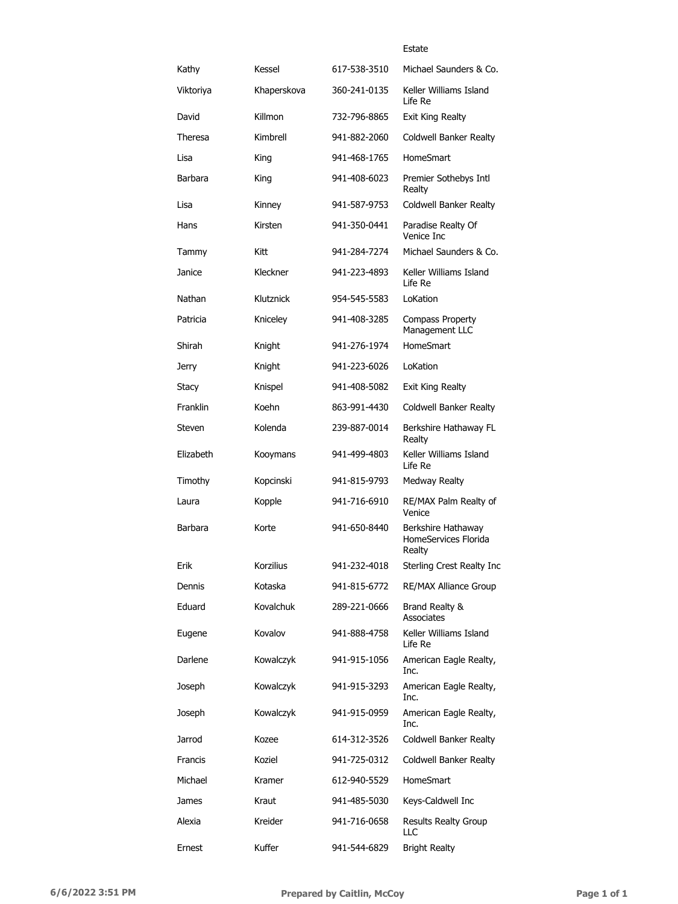#### Estate

| Kathy     | Kessel      | 617-538-3510 | Michael Saunders & Co.                               |
|-----------|-------------|--------------|------------------------------------------------------|
| Viktoriya | Khaperskova | 360-241-0135 | Keller Williams Island<br>Life Re                    |
| David     | Killmon     | 732-796-8865 | Exit King Realty                                     |
| Theresa   | Kimbrell    | 941-882-2060 | <b>Coldwell Banker Realty</b>                        |
| Lisa      | King        | 941-468-1765 | HomeSmart                                            |
| Barbara   | King        | 941-408-6023 | Premier Sothebys Intl<br>Realty                      |
| Lisa      | Kinney      | 941-587-9753 | Coldwell Banker Realty                               |
| Hans      | Kirsten     | 941-350-0441 | Paradise Realty Of<br>Venice Inc                     |
| Tammy     | Kitt        | 941-284-7274 | Michael Saunders & Co.                               |
| Janice    | Kleckner    | 941-223-4893 | Keller Williams Island<br>Life Re                    |
| Nathan    | Klutznick   | 954-545-5583 | LoKation                                             |
| Patricia  | Kniceley    | 941-408-3285 | <b>Compass Property</b><br>Management LLC            |
| Shirah    | Knight      | 941-276-1974 | HomeSmart                                            |
| Jerry     | Knight      | 941-223-6026 | LoKation                                             |
| Stacy     | Knispel     | 941-408-5082 | Exit King Realty                                     |
| Franklin  | Koehn       | 863-991-4430 | Coldwell Banker Realty                               |
| Steven    | Kolenda     | 239-887-0014 | Berkshire Hathaway FL<br>Realty                      |
| Elizabeth | Kooymans    | 941-499-4803 | Keller Williams Island<br>Life Re                    |
| Timothy   | Kopcinski   | 941-815-9793 | Medway Realty                                        |
| Laura     | Kopple      | 941-716-6910 | RE/MAX Palm Realty of<br>Venice                      |
| Barbara   | Korte       | 941-650-8440 | Berkshire Hathawav<br>HomeServices Florida<br>Realty |
| Erik      | Korzilius   | 941-232-4018 | Sterling Crest Realty Inc                            |
| Dennis    | Kotaska     | 941-815-6772 | <b>RE/MAX Alliance Group</b>                         |
| Eduard    | Kovalchuk   | 289-221-0666 | Brand Realty &<br>Associates                         |
| Eugene    | Kovalov     | 941-888-4758 | Keller Williams Island<br>Life Re                    |
| Darlene   | Kowalczyk   | 941-915-1056 | American Eagle Realty,<br>Inc.                       |
| Joseph    | Kowalczyk   | 941-915-3293 | American Eagle Realty,<br>Inc.                       |
| Joseph    | Kowalczyk   | 941-915-0959 | American Eagle Realty,<br>Inc.                       |
| Jarrod    | Kozee       | 614-312-3526 | Coldwell Banker Realty                               |
| Francis   | Koziel      | 941-725-0312 | Coldwell Banker Realty                               |
| Michael   | Kramer      | 612-940-5529 | HomeSmart                                            |
| James     | Kraut       | 941-485-5030 | Keys-Caldwell Inc                                    |
| Alexia    | Kreider     | 941-716-0658 | <b>Results Realty Group</b><br>LLC                   |
| Ernest    | Kuffer      | 941-544-6829 | <b>Bright Realty</b>                                 |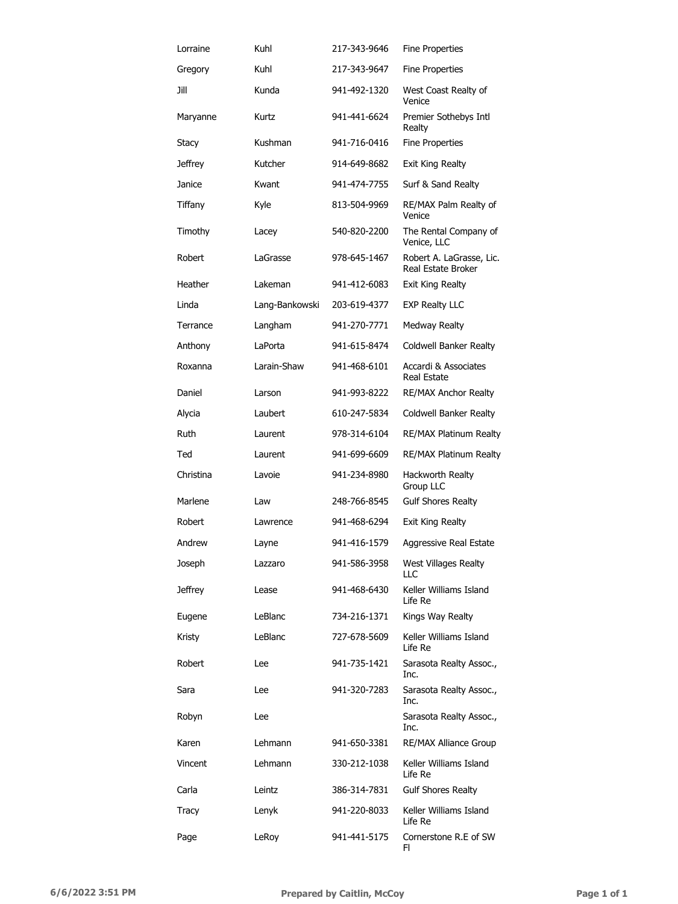| Lorraine  | Kuhl           | 217-343-9646 | <b>Fine Properties</b>                         |
|-----------|----------------|--------------|------------------------------------------------|
| Gregory   | Kuhl           | 217-343-9647 | <b>Fine Properties</b>                         |
| Jill      | Kunda          | 941-492-1320 | West Coast Realty of<br>Venice                 |
| Maryanne  | Kurtz          | 941-441-6624 | Premier Sothebys Intl<br>Realty                |
| Stacy     | Kushman        | 941-716-0416 | <b>Fine Properties</b>                         |
| Jeffrey   | Kutcher        | 914-649-8682 | Exit King Realty                               |
| Janice    | Kwant          | 941-474-7755 | Surf & Sand Realty                             |
| Tiffany   | Kyle           | 813-504-9969 | RE/MAX Palm Realty of<br>Venice                |
| Timothy   | Lacey          | 540-820-2200 | The Rental Company of<br>Venice, LLC           |
| Robert    | LaGrasse       | 978-645-1467 | Robert A. LaGrasse, Lic.<br>Real Estate Broker |
| Heather   | Lakeman        | 941-412-6083 | <b>Exit King Realty</b>                        |
| Linda     | Lang-Bankowski | 203-619-4377 | <b>EXP Realty LLC</b>                          |
| Terrance  | Langham        | 941-270-7771 | <b>Medway Realty</b>                           |
| Anthony   | LaPorta        | 941-615-8474 | Coldwell Banker Realty                         |
| Roxanna   | Larain-Shaw    | 941-468-6101 | Accardi & Associates<br><b>Real Estate</b>     |
| Daniel    | Larson         | 941-993-8222 | <b>RE/MAX Anchor Realty</b>                    |
| Alycia    | Laubert        | 610-247-5834 | Coldwell Banker Realty                         |
| Ruth      | Laurent        | 978-314-6104 | RE/MAX Platinum Realty                         |
| Ted       | Laurent        | 941-699-6609 | RE/MAX Platinum Realty                         |
| Christina | Lavoie         | 941-234-8980 | Hackworth Realty<br>Group LLC                  |
| Marlene   | Law            | 248-766-8545 | <b>Gulf Shores Realty</b>                      |
| Robert    | Lawrence       | 941-468-6294 | Exit King Realty                               |
| Andrew    | Layne          | 941-416-1579 | Aggressive Real Estate                         |
| Joseph    | Lazzaro        | 941-586-3958 | West Villages Realty<br>LLC                    |
| Jeffrey   | Lease          | 941-468-6430 | Keller Williams Island<br>Life Re              |
| Eugene    | LeBlanc        | 734-216-1371 | Kings Way Realty                               |
| Kristy    | LeBlanc        | 727-678-5609 | Keller Williams Island<br>Life Re              |
| Robert    | Lee            | 941-735-1421 | Sarasota Realty Assoc.,<br>Inc.                |
| Sara      | Lee            | 941-320-7283 | Sarasota Realty Assoc.,<br>Inc.                |
| Robyn     | Lee            |              | Sarasota Realty Assoc.,<br>Inc.                |
| Karen     | Lehmann        | 941-650-3381 | <b>RE/MAX Alliance Group</b>                   |
| Vincent   | Lehmann        | 330-212-1038 | Keller Williams Island<br>Life Re              |
| Carla     | Leintz         | 386-314-7831 | <b>Gulf Shores Realty</b>                      |
| Tracy     | Lenyk          | 941-220-8033 | Keller Williams Island<br>Life Re              |
| Page      | LeRoy          | 941-441-5175 | Cornerstone R.E of SW<br>FI.                   |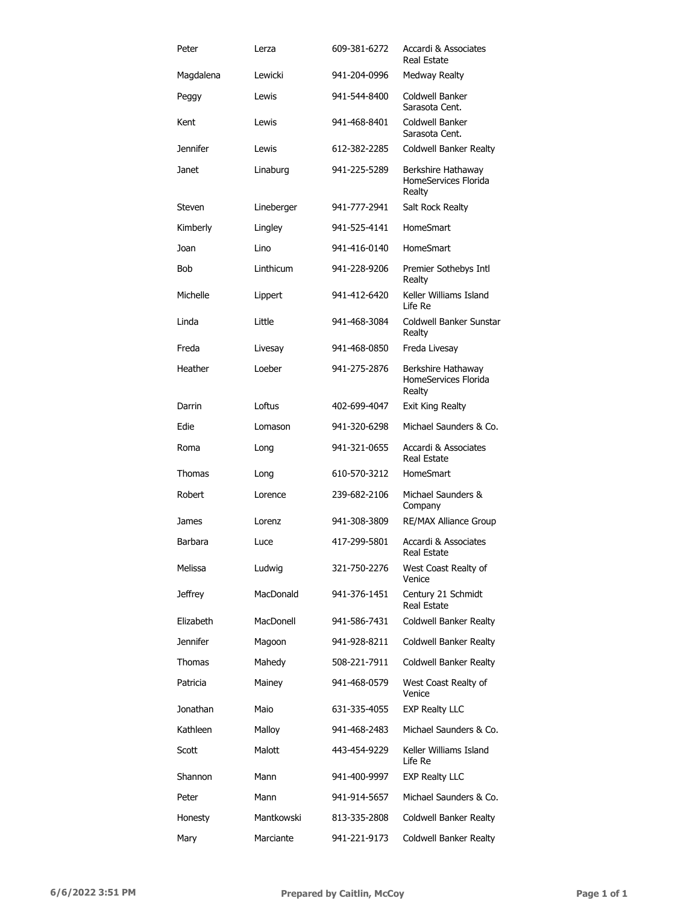| Peter           | Lerza      | 609-381-6272 | Accardi & Associates<br><b>Real Estate</b>           |
|-----------------|------------|--------------|------------------------------------------------------|
| Magdalena       | Lewicki    | 941-204-0996 | <b>Medway Realty</b>                                 |
| Peggy           | Lewis      | 941-544-8400 | Coldwell Banker<br>Sarasota Cent.                    |
| Kent            | Lewis      | 941-468-8401 | Coldwell Banker<br>Sarasota Cent.                    |
| <b>Jennifer</b> | Lewis      | 612-382-2285 | Coldwell Banker Realty                               |
| Janet           | Linaburg   | 941-225-5289 | Berkshire Hathaway<br>HomeServices Florida<br>Realty |
| Steven          | Lineberger | 941-777-2941 | Salt Rock Realty                                     |
| Kimberly        | Lingley    | 941-525-4141 | HomeSmart                                            |
| Joan            | Lino       | 941-416-0140 | HomeSmart                                            |
| Bob             | Linthicum  | 941-228-9206 | Premier Sothebys Intl<br>Realty                      |
| Michelle        | Lippert    | 941-412-6420 | Keller Williams Island<br>Life Re                    |
| Linda           | Little     | 941-468-3084 | Coldwell Banker Sunstar<br>Realty                    |
| Freda           | Livesay    | 941-468-0850 | Freda Livesay                                        |
| Heather         | Loeber     | 941-275-2876 | Berkshire Hathaway<br>HomeServices Florida<br>Realty |
| Darrin          | Loftus     | 402-699-4047 | Exit King Realty                                     |
| Edie            | Lomason    | 941-320-6298 | Michael Saunders & Co.                               |
| Roma            | Long       | 941-321-0655 | Accardi & Associates<br><b>Real Estate</b>           |
| Thomas          | Long       | 610-570-3212 | HomeSmart                                            |
| Robert          | Lorence    | 239-682-2106 | Michael Saunders &<br>Company                        |
| James           | Lorenz     | 941-308-3809 | <b>RE/MAX Alliance Group</b>                         |
| Barbara         | Luce       | 417-299-5801 | Accardi & Associates<br>Real Estate                  |
| Melissa         | Ludwig     | 321-750-2276 | West Coast Realty of<br>Venice                       |
| Jeffrey         | MacDonald  | 941-376-1451 | Century 21 Schmidt<br>Real Estate                    |
| Elizabeth       | MacDonell  | 941-586-7431 | Coldwell Banker Realty                               |
| <b>Jennifer</b> | Magoon     | 941-928-8211 | Coldwell Banker Realty                               |
| Thomas          | Mahedy     | 508-221-7911 | Coldwell Banker Realty                               |
| Patricia        | Mainey     | 941-468-0579 | West Coast Realty of<br>Venice                       |
| Jonathan        | Maio       | 631-335-4055 | <b>EXP Realty LLC</b>                                |
| Kathleen        | Malloy     | 941-468-2483 | Michael Saunders & Co.                               |
| Scott           | Malott     | 443-454-9229 | Keller Williams Island<br>Life Re                    |
| Shannon         | Mann       | 941-400-9997 | <b>EXP Realty LLC</b>                                |
| Peter           | Mann       | 941-914-5657 | Michael Saunders & Co.                               |
| Honesty         | Mantkowski | 813-335-2808 | Coldwell Banker Realty                               |
| Mary            | Marciante  | 941-221-9173 | Coldwell Banker Realty                               |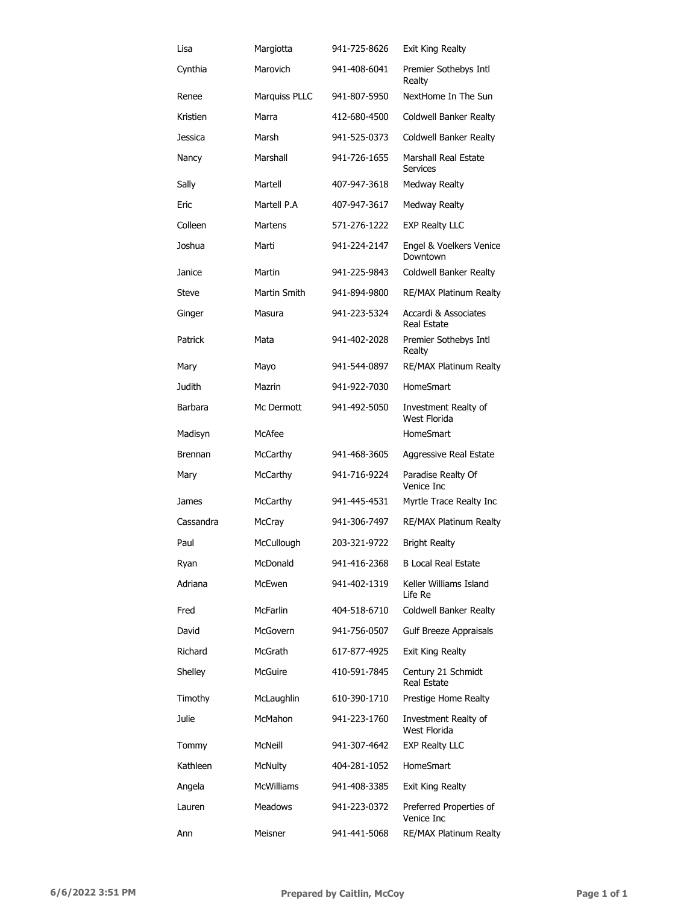| Lisa           | Margiotta         | 941-725-8626 | Exit King Realty                           |
|----------------|-------------------|--------------|--------------------------------------------|
| Cynthia        | Marovich          | 941-408-6041 | Premier Sothebys Intl<br>Realty            |
| Renee          | Marquiss PLLC     | 941-807-5950 | NextHome In The Sun                        |
| Kristien       | Marra             | 412-680-4500 | Coldwell Banker Realty                     |
| Jessica        | Marsh             | 941-525-0373 | Coldwell Banker Realty                     |
| Nancy          | Marshall          | 941-726-1655 | Marshall Real Estate<br><b>Services</b>    |
| Sally          | Martell           | 407-947-3618 | <b>Medway Realty</b>                       |
| Eric           | Martell P.A       | 407-947-3617 | <b>Medway Realty</b>                       |
| Colleen        | <b>Martens</b>    | 571-276-1222 | <b>EXP Realty LLC</b>                      |
| Joshua         | Marti             | 941-224-2147 | Engel & Voelkers Venice<br>Downtown        |
| Janice         | Martin            | 941-225-9843 | Coldwell Banker Realty                     |
| Steve          | Martin Smith      | 941-894-9800 | <b>RE/MAX Platinum Realty</b>              |
| Ginger         | Masura            | 941-223-5324 | Accardi & Associates<br><b>Real Estate</b> |
| Patrick        | Mata              | 941-402-2028 | Premier Sothebys Intl<br>Realty            |
| Mary           | Mayo              | 941-544-0897 | <b>RE/MAX Platinum Realty</b>              |
| Judith         | Mazrin            | 941-922-7030 | HomeSmart                                  |
| Barbara        | Mc Dermott        | 941-492-5050 | Investment Realty of<br>West Florida       |
| Madisyn        | McAfee            |              | <b>HomeSmart</b>                           |
| <b>Brennan</b> | McCarthy          | 941-468-3605 | Aggressive Real Estate                     |
| Mary           | McCarthy          | 941-716-9224 | Paradise Realty Of<br>Venice Inc.          |
| James          | McCarthy          | 941-445-4531 | Myrtle Trace Realty Inc                    |
| Cassandra      | McCray            | 941-306-7497 | RE/MAX Platinum Realty                     |
| Paul           | McCullough        | 203-321-9722 | <b>Bright Realty</b>                       |
| Ryan           | McDonald          | 941-416-2368 | <b>B Local Real Estate</b>                 |
| Adriana        | McEwen            | 941-402-1319 | Keller Williams Island<br>Life Re          |
| Fred           | McFarlin          | 404-518-6710 | Coldwell Banker Realty                     |
| David          | McGovern          | 941-756-0507 | Gulf Breeze Appraisals                     |
| Richard        | McGrath           | 617-877-4925 | Exit King Realty                           |
| Shelley        | McGuire           | 410-591-7845 | Century 21 Schmidt<br><b>Real Estate</b>   |
| Timothy        | McLaughlin        | 610-390-1710 | Prestige Home Realty                       |
| Julie          | McMahon           | 941-223-1760 | Investment Realty of<br>West Florida       |
| Tommy          | McNeill           | 941-307-4642 | <b>EXP Realty LLC</b>                      |
| Kathleen       | <b>McNulty</b>    | 404-281-1052 | <b>HomeSmart</b>                           |
| Angela         | <b>McWilliams</b> | 941-408-3385 | Exit King Realty                           |
| Lauren         | Meadows           | 941-223-0372 | Preferred Properties of<br>Venice Inc      |
| Ann            | Meisner           | 941-441-5068 | RE/MAX Platinum Realty                     |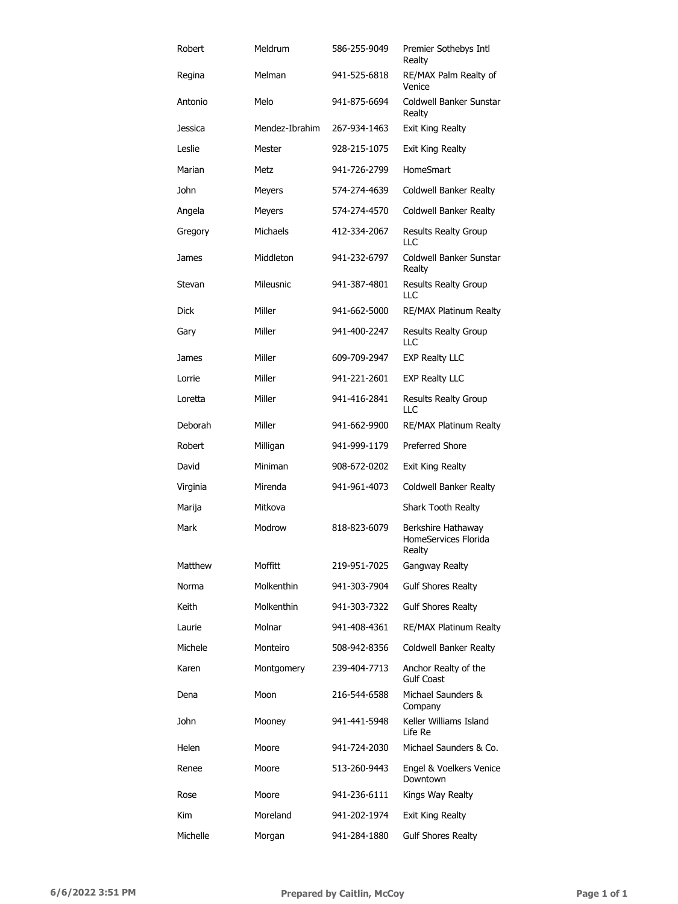| Robert   | Meldrum        | 586-255-9049 | Premier Sothebys Intl<br>Realty                      |
|----------|----------------|--------------|------------------------------------------------------|
| Regina   | Melman         | 941-525-6818 | RE/MAX Palm Realty of<br>Venice                      |
| Antonio  | Melo           | 941-875-6694 | Coldwell Banker Sunstar<br>Realty                    |
| Jessica  | Mendez-Ibrahim | 267-934-1463 | Exit King Realty                                     |
| Leslie   | Mester         | 928-215-1075 | Exit King Realty                                     |
| Marian   | Metz           | 941-726-2799 | HomeSmart                                            |
| John     | <b>Meyers</b>  | 574-274-4639 | Coldwell Banker Realty                               |
| Angela   | Meyers         | 574-274-4570 | Coldwell Banker Realty                               |
| Gregory  | Michaels       | 412-334-2067 | <b>Results Realty Group</b><br>LLC                   |
| James    | Middleton      | 941-232-6797 | Coldwell Banker Sunstar<br>Realty                    |
| Stevan   | Mileusnic      | 941-387-4801 | <b>Results Realty Group</b><br>LLC                   |
| Dick     | Miller         | 941-662-5000 | RE/MAX Platinum Realty                               |
| Gary     | Miller         | 941-400-2247 | <b>Results Realty Group</b><br>LLC                   |
| James    | Miller         | 609-709-2947 | <b>EXP Realty LLC</b>                                |
| Lorrie   | Miller         | 941-221-2601 | <b>EXP Realty LLC</b>                                |
| Loretta  | Miller         | 941-416-2841 | <b>Results Realty Group</b><br>LLC                   |
| Deborah  | Miller         | 941-662-9900 | <b>RE/MAX Platinum Realty</b>                        |
| Robert   | Milligan       | 941-999-1179 | <b>Preferred Shore</b>                               |
| David    | Miniman        | 908-672-0202 | Exit King Realty                                     |
| Virginia | Mirenda        | 941-961-4073 | Coldwell Banker Realty                               |
| Marija   | Mitkova        |              | Shark Tooth Realty                                   |
| Mark     | Modrow         | 818-823-6079 | Berkshire Hathaway<br>HomeServices Florida<br>Realty |
| Matthew  | Moffitt        | 219-951-7025 | Gangway Realty                                       |
| Norma    | Molkenthin     | 941-303-7904 | <b>Gulf Shores Realty</b>                            |
| Keith    | Molkenthin     | 941-303-7322 | <b>Gulf Shores Realty</b>                            |
| Laurie   | Molnar         | 941-408-4361 | RE/MAX Platinum Realty                               |
| Michele  | Monteiro       | 508-942-8356 | Coldwell Banker Realty                               |
| Karen    | Montgomery     | 239-404-7713 | Anchor Realty of the<br><b>Gulf Coast</b>            |
| Dena     | Moon           | 216-544-6588 | Michael Saunders &<br>Company                        |
| John     | Mooney         | 941-441-5948 | Keller Williams Island<br>Life Re                    |
| Helen    | Moore          | 941-724-2030 | Michael Saunders & Co.                               |
| Renee    | Moore          | 513-260-9443 | Engel & Voelkers Venice<br>Downtown                  |
| Rose     | Moore          | 941-236-6111 | Kings Way Realty                                     |
| Kim      | Moreland       | 941-202-1974 | Exit King Realty                                     |
| Michelle | Morgan         | 941-284-1880 | <b>Gulf Shores Realty</b>                            |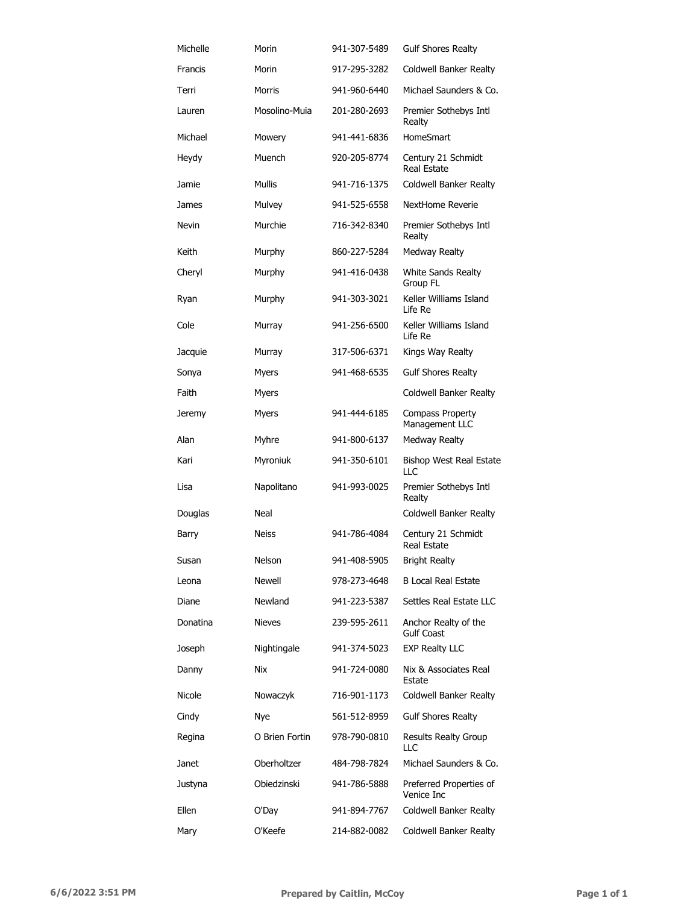| Michelle | Morin          | 941-307-5489 | <b>Gulf Shores Realty</b>                 |
|----------|----------------|--------------|-------------------------------------------|
| Francis  | Morin          | 917-295-3282 | Coldwell Banker Realty                    |
| Terri    | Morris         | 941-960-6440 | Michael Saunders & Co.                    |
| Lauren   | Mosolino-Muia  | 201-280-2693 | Premier Sothebys Intl<br>Realty           |
| Michael  | Mowery         | 941-441-6836 | <b>HomeSmart</b>                          |
| Heydy    | Muench         | 920-205-8774 | Century 21 Schmidt<br>Real Estate         |
| Jamie    | <b>Mullis</b>  | 941-716-1375 | Coldwell Banker Realty                    |
| James    | Mulvey         | 941-525-6558 | NextHome Reverie                          |
| Nevin    | Murchie        | 716-342-8340 | Premier Sothebys Intl<br>Realty           |
| Keith    | Murphy         | 860-227-5284 | Medway Realty                             |
| Cheryl   | Murphy         | 941-416-0438 | White Sands Realty<br>Group FL            |
| Ryan     | Murphy         | 941-303-3021 | Keller Williams Island<br>Life Re         |
| Cole     | Murray         | 941-256-6500 | Keller Williams Island<br>Life Re         |
| Jacquie  | Murray         | 317-506-6371 | Kings Way Realty                          |
| Sonya    | Myers          | 941-468-6535 | <b>Gulf Shores Realty</b>                 |
| Faith    | Myers          |              | Coldwell Banker Realty                    |
| Jeremy   | Myers          | 941-444-6185 | Compass Property<br>Management LLC        |
| Alan     | Myhre          | 941-800-6137 | Medway Realty                             |
| Kari     | Myroniuk       | 941-350-6101 | <b>Bishop West Real Estate</b><br>LLC     |
| Lisa     | Napolitano     | 941-993-0025 | Premier Sothebys Intl<br>Realty           |
| Douglas  | Neal           |              | Coldwell Banker Realty                    |
| Barry    | <b>Neiss</b>   | 941-786-4084 | Century 21 Schmidt<br>Real Estate         |
| Susan    | Nelson         | 941-408-5905 | <b>Bright Realty</b>                      |
| Leona    | <b>Newell</b>  | 978-273-4648 | <b>B Local Real Estate</b>                |
| Diane    | Newland        | 941-223-5387 | Settles Real Estate LLC                   |
| Donatina | <b>Nieves</b>  | 239-595-2611 | Anchor Realty of the<br><b>Gulf Coast</b> |
| Joseph   | Nightingale    | 941-374-5023 | <b>EXP Realty LLC</b>                     |
| Danny    | <b>Nix</b>     | 941-724-0080 | Nix & Associates Real<br>Estate           |
| Nicole   | Nowaczyk       | 716-901-1173 | Coldwell Banker Realty                    |
| Cindy    | Nye            | 561-512-8959 | <b>Gulf Shores Realty</b>                 |
| Regina   | O Brien Fortin | 978-790-0810 | <b>Results Realty Group</b><br>LLC        |
| Janet    | Oberholtzer    | 484-798-7824 | Michael Saunders & Co.                    |
| Justyna  | Obiedzinski    | 941-786-5888 | Preferred Properties of<br>Venice Inc     |
| Ellen    | O'Day          | 941-894-7767 | Coldwell Banker Realty                    |
| Mary     | O'Keefe        | 214-882-0082 | Coldwell Banker Realty                    |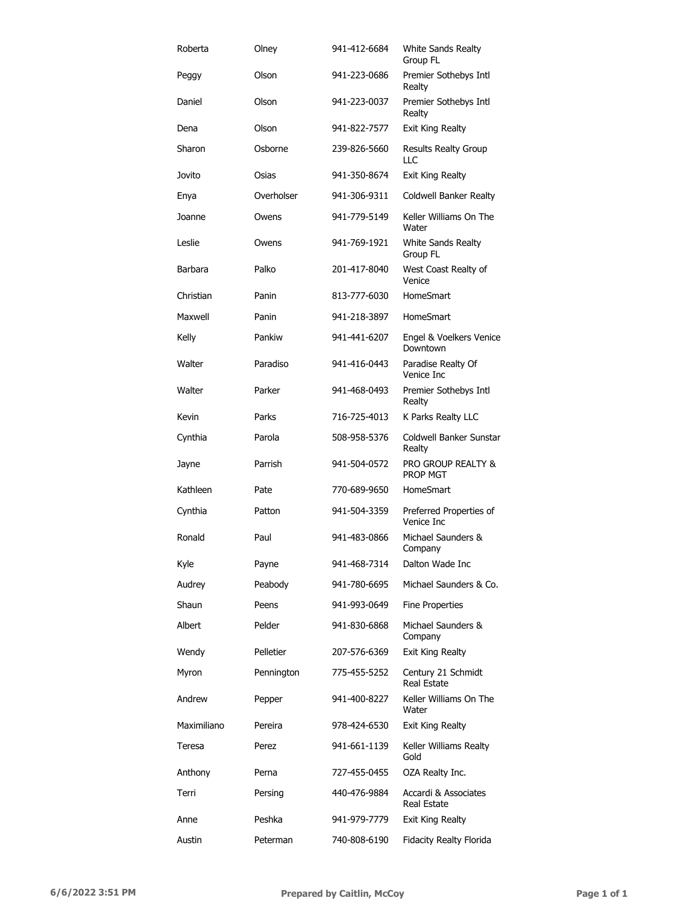| Roberta     | Olney      | 941-412-6684 | White Sands Realty<br>Group FL                   |
|-------------|------------|--------------|--------------------------------------------------|
| Peggy       | Olson      | 941-223-0686 | Premier Sothebys Intl<br>Realty                  |
| Daniel      | Olson      | 941-223-0037 | Premier Sothebys Intl<br>Realty                  |
| Dena        | Olson      | 941-822-7577 | Exit King Realty                                 |
| Sharon      | Osborne    | 239-826-5660 | Results Realty Group<br>LLC                      |
| Jovito      | Osias      | 941-350-8674 | Exit King Realty                                 |
| Enya        | Overholser | 941-306-9311 | Coldwell Banker Realty                           |
| Joanne      | Owens      | 941-779-5149 | Keller Williams On The<br>Water                  |
| Leslie      | Owens      | 941-769-1921 | White Sands Realty<br>Group FL                   |
| Barbara     | Palko      | 201-417-8040 | West Coast Realty of<br>Venice                   |
| Christian   | Panin      | 813-777-6030 | HomeSmart                                        |
| Maxwell     | Panin      | 941-218-3897 | HomeSmart                                        |
| Kelly       | Pankiw     | 941-441-6207 | Engel & Voelkers Venice<br>Downtown              |
| Walter      | Paradiso   | 941-416-0443 | Paradise Realty Of<br>Venice Inc                 |
| Walter      | Parker     | 941-468-0493 | Premier Sothebys Intl<br>Realty                  |
| Kevin       | Parks      | 716-725-4013 | K Parks Realty LLC                               |
| Cynthia     | Parola     | 508-958-5376 | Coldwell Banker Sunstar<br>Realty                |
| Jayne       | Parrish    | 941-504-0572 | <b>PRO GROUP REALTY &amp;</b><br><b>PROP MGT</b> |
| Kathleen    | Pate       | 770-689-9650 | <b>HomeSmart</b>                                 |
| Cynthia     | Patton     | 941-504-3359 | Preferred Properties of<br>Venice Inc            |
| Ronald      | Paul       | 941-483-0866 | Michael Saunders &<br>Company                    |
| Kyle        | Payne      | 941-468-7314 | Dalton Wade Inc                                  |
| Audrey      | Peabody    | 941-780-6695 | Michael Saunders & Co.                           |
| Shaun       | Peens      | 941-993-0649 | <b>Fine Properties</b>                           |
| Albert      | Pelder     | 941-830-6868 | Michael Saunders &<br>Company                    |
| Wendy       | Pelletier  | 207-576-6369 | Exit King Realty                                 |
| Myron       | Pennington | 775-455-5252 | Century 21 Schmidt<br>Real Estate                |
| Andrew      | Pepper     | 941-400-8227 | Keller Williams On The<br>Water                  |
| Maximiliano | Pereira    | 978-424-6530 | Exit King Realty                                 |
| Teresa      | Perez      | 941-661-1139 | Keller Williams Realty<br>Gold                   |
| Anthony     | Perna      | 727-455-0455 | OZA Realty Inc.                                  |
| Terri       | Persing    | 440-476-9884 | Accardi & Associates<br>Real Estate              |
| Anne        | Peshka     | 941-979-7779 | Exit King Realty                                 |
| Austin      | Peterman   | 740-808-6190 | Fidacity Realty Florida                          |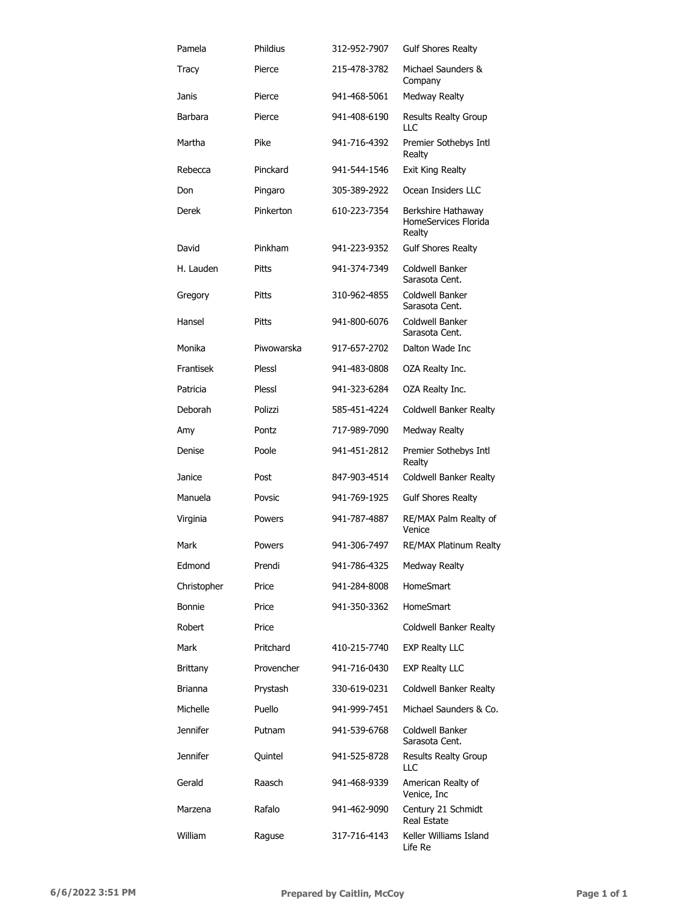| Pamela          | Phildius   | 312-952-7907 | <b>Gulf Shores Realty</b>                            |
|-----------------|------------|--------------|------------------------------------------------------|
| Tracy           | Pierce     | 215-478-3782 | Michael Saunders &<br>Company                        |
| Janis           | Pierce     | 941-468-5061 | <b>Medway Realty</b>                                 |
| Barbara         | Pierce     | 941-408-6190 | <b>Results Realty Group</b><br>LLC                   |
| Martha          | Pike       | 941-716-4392 | Premier Sothebys Intl<br>Realty                      |
| Rebecca         | Pinckard   | 941-544-1546 | <b>Exit King Realty</b>                              |
| Don             | Pingaro    | 305-389-2922 | Ocean Insiders LLC                                   |
| Derek           | Pinkerton  | 610-223-7354 | Berkshire Hathaway<br>HomeServices Florida<br>Realty |
| David           | Pinkham    | 941-223-9352 | <b>Gulf Shores Realty</b>                            |
| H. Lauden       | Pitts      | 941-374-7349 | Coldwell Banker<br>Sarasota Cent.                    |
| Gregory         | Pitts      | 310-962-4855 | Coldwell Banker<br>Sarasota Cent.                    |
| Hansel          | Pitts      | 941-800-6076 | Coldwell Banker<br>Sarasota Cent.                    |
| Monika          | Piwowarska | 917-657-2702 | Dalton Wade Inc                                      |
| Frantisek       | Plessl     | 941-483-0808 | OZA Realty Inc.                                      |
| Patricia        | Plessl     | 941-323-6284 | OZA Realty Inc.                                      |
| <b>Deborah</b>  | Polizzi    | 585-451-4224 | Coldwell Banker Realty                               |
| Amy             | Pontz      | 717-989-7090 | Medway Realty                                        |
| Denise          | Poole      | 941-451-2812 | Premier Sothebys Intl<br>Realty                      |
| Janice          | Post       | 847-903-4514 | Coldwell Banker Realty                               |
| Manuela         | Povsic     | 941-769-1925 | <b>Gulf Shores Realty</b>                            |
| Virginia        | Powers     | 941-787-4887 | RE/MAX Palm Realty of<br>Venice                      |
| Mark            | Powers     | 941-306-7497 | <b>RE/MAX Platinum Realty</b>                        |
| Edmond          | Prendi     | 941-786-4325 | <b>Medway Realty</b>                                 |
| Christopher     | Price      | 941-284-8008 | <b>HomeSmart</b>                                     |
| <b>Bonnie</b>   | Price      | 941-350-3362 | <b>HomeSmart</b>                                     |
| Robert          | Price      |              | Coldwell Banker Realty                               |
| Mark            | Pritchard  | 410-215-7740 | <b>EXP Realty LLC</b>                                |
| <b>Brittany</b> | Provencher | 941-716-0430 | <b>EXP Realty LLC</b>                                |
| Brianna         | Prystash   | 330-619-0231 | Coldwell Banker Realty                               |
| Michelle        | Puello     | 941-999-7451 | Michael Saunders & Co.                               |
| <b>Jennifer</b> | Putnam     | 941-539-6768 | Coldwell Banker<br>Sarasota Cent.                    |
| <b>Jennifer</b> | Quintel    | 941-525-8728 | Results Realty Group<br>LLC                          |
| Gerald          | Raasch     | 941-468-9339 | American Realty of<br>Venice, Inc                    |
| Marzena         | Rafalo     | 941-462-9090 | Century 21 Schmidt<br><b>Real Estate</b>             |
| William         | Raguse     | 317-716-4143 | Keller Williams Island<br>Life Re                    |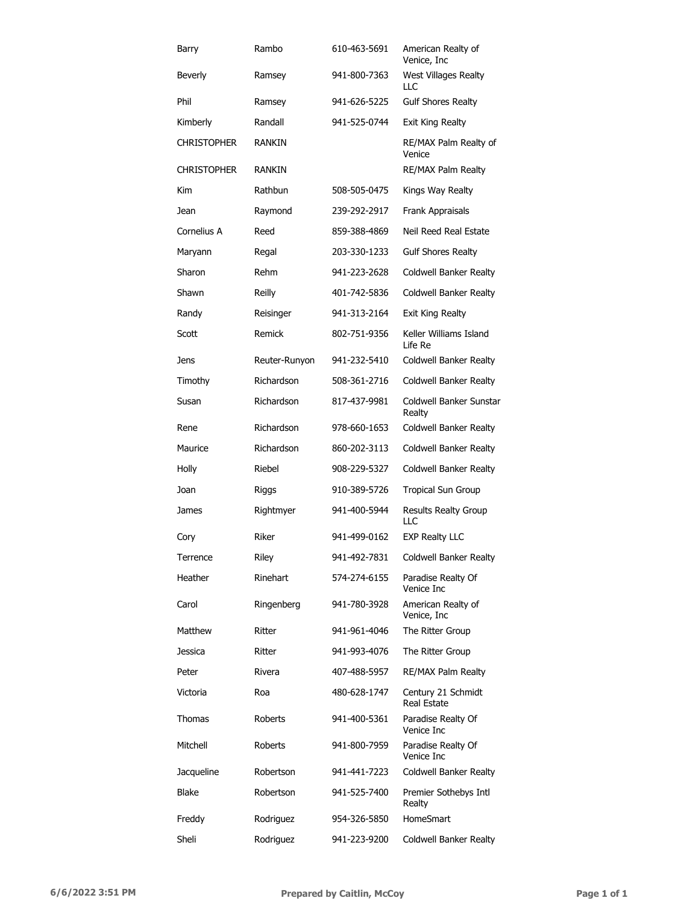| Barry              | Rambo         | 610-463-5691 | American Realty of<br>Venice, Inc        |
|--------------------|---------------|--------------|------------------------------------------|
| Beverly            | Ramsey        | 941-800-7363 | West Villages Realty<br>LLC              |
| Phil               | Ramsey        | 941-626-5225 | <b>Gulf Shores Realty</b>                |
| Kimberly           | Randall       | 941-525-0744 | Exit King Realty                         |
| <b>CHRISTOPHER</b> | <b>RANKIN</b> |              | RE/MAX Palm Realty of<br>Venice          |
| <b>CHRISTOPHER</b> | <b>RANKIN</b> |              | RE/MAX Palm Realty                       |
| Kim                | Rathbun       | 508-505-0475 | Kings Way Realty                         |
| Jean               | Raymond       | 239-292-2917 | Frank Appraisals                         |
| Cornelius A        | Reed          | 859-388-4869 | Neil Reed Real Estate                    |
| Maryann            | Regal         | 203-330-1233 | <b>Gulf Shores Realty</b>                |
| Sharon             | Rehm          | 941-223-2628 | Coldwell Banker Realty                   |
| Shawn              | Reilly        | 401-742-5836 | Coldwell Banker Realty                   |
| Randy              | Reisinger     | 941-313-2164 | Exit King Realty                         |
| Scott              | Remick        | 802-751-9356 | Keller Williams Island<br>Life Re        |
| Jens               | Reuter-Runyon | 941-232-5410 | Coldwell Banker Realty                   |
| Timothy            | Richardson    | 508-361-2716 | Coldwell Banker Realty                   |
| Susan              | Richardson    | 817-437-9981 | Coldwell Banker Sunstar<br>Realty        |
| Rene               | Richardson    | 978-660-1653 | Coldwell Banker Realty                   |
| Maurice            | Richardson    | 860-202-3113 | Coldwell Banker Realty                   |
| Holly              | Riebel        | 908-229-5327 | Coldwell Banker Realty                   |
| Joan               | Riggs         | 910-389-5726 | Tropical Sun Group                       |
| James              | Rightmyer     | 941-400-5944 | Results Realty Group<br><b>LLC</b>       |
| Cory               | Riker         | 941-499-0162 | <b>EXP Realty LLC</b>                    |
| Terrence           | Riley         | 941-492-7831 | Coldwell Banker Realty                   |
| Heather            | Rinehart      | 574-274-6155 | Paradise Realty Of<br>Venice Inc         |
| Carol              | Ringenberg    | 941-780-3928 | American Realty of<br>Venice, Inc        |
| Matthew            | Ritter        | 941-961-4046 | The Ritter Group                         |
| Jessica            | Ritter        | 941-993-4076 | The Ritter Group                         |
| Peter              | Rivera        | 407-488-5957 | RE/MAX Palm Realty                       |
| Victoria           | Roa           | 480-628-1747 | Century 21 Schmidt<br><b>Real Estate</b> |
| Thomas             | Roberts       | 941-400-5361 | Paradise Realty Of<br>Venice Inc         |
| Mitchell           | Roberts       | 941-800-7959 | Paradise Realty Of<br>Venice Inc         |
| Jacqueline         | Robertson     | 941-441-7223 | Coldwell Banker Realty                   |
| Blake              | Robertson     | 941-525-7400 | Premier Sothebys Intl<br>Realty          |
| Freddy             | Rodriguez     | 954-326-5850 | <b>HomeSmart</b>                         |
| Sheli              | Rodriguez     | 941-223-9200 | Coldwell Banker Realty                   |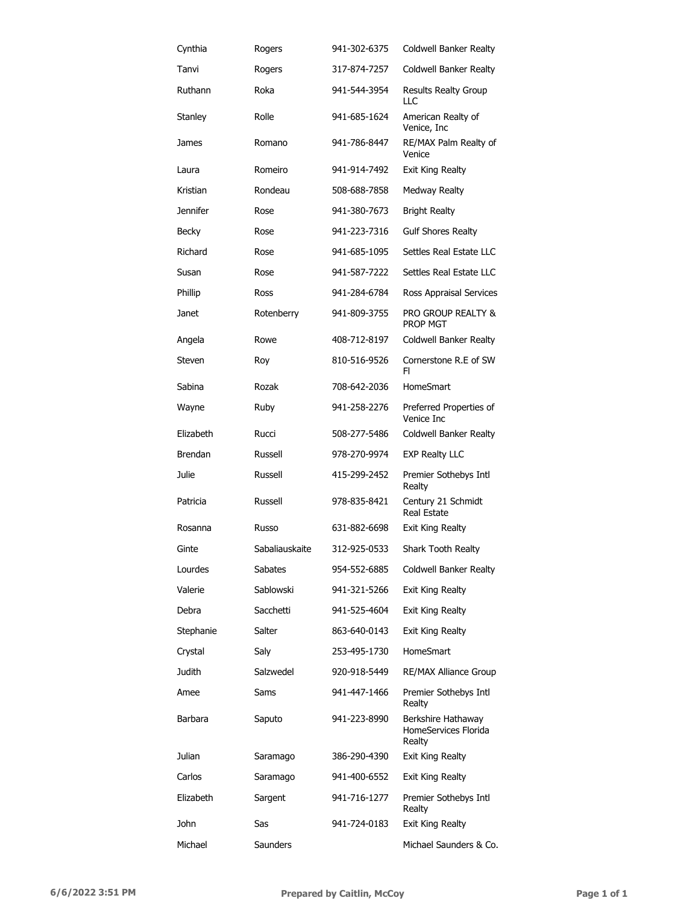| Cynthia         | Rogers         | 941-302-6375 | Coldwell Banker Realty                               |
|-----------------|----------------|--------------|------------------------------------------------------|
| Tanvi           | Rogers         | 317-874-7257 | Coldwell Banker Realty                               |
| Ruthann         | Roka           | 941-544-3954 | Results Realty Group<br>LLC                          |
| Stanley         | Rolle          | 941-685-1624 | American Realty of<br>Venice, Inc                    |
| James           | Romano         | 941-786-8447 | RE/MAX Palm Realty of<br>Venice                      |
| Laura           | Romeiro        | 941-914-7492 | Exit King Realty                                     |
| Kristian        | Rondeau        | 508-688-7858 | Medway Realty                                        |
| <b>Jennifer</b> | Rose           | 941-380-7673 | <b>Bright Realty</b>                                 |
| Becky           | Rose           | 941-223-7316 | <b>Gulf Shores Realty</b>                            |
| Richard         | Rose           | 941-685-1095 | Settles Real Estate LLC                              |
| Susan           | Rose           | 941-587-7222 | Settles Real Estate LLC                              |
| Phillip         | Ross           | 941-284-6784 | Ross Appraisal Services                              |
| Janet           | Rotenberry     | 941-809-3755 | PRO GROUP REALTY &<br><b>PROP MGT</b>                |
| Angela          | Rowe           | 408-712-8197 | Coldwell Banker Realty                               |
| Steven          | Roy            | 810-516-9526 | Cornerstone R.E of SW<br>FI.                         |
| Sabina          | Rozak          | 708-642-2036 | HomeSmart                                            |
| Wayne           | Ruby           | 941-258-2276 | Preferred Properties of<br>Venice Inc                |
| Elizabeth       | Rucci          | 508-277-5486 | Coldwell Banker Realty                               |
| <b>Brendan</b>  | Russell        | 978-270-9974 | <b>EXP Realty LLC</b>                                |
| Julie           | Russell        | 415-299-2452 | Premier Sothebys Intl<br>Realty                      |
| Patricia        | Russell        | 978-835-8421 | Century 21 Schmidt<br>Real Estate                    |
| Rosanna         | Russo          | 631-882-6698 | <b>Exit King Realty</b>                              |
| Ginte           | Sabaliauskaite | 312-925-0533 | Shark Tooth Realty                                   |
| Lourdes         | Sabates        | 954-552-6885 | Coldwell Banker Realty                               |
| Valerie         | Sablowski      | 941-321-5266 | Exit King Realty                                     |
| Debra           | Sacchetti      | 941-525-4604 | Exit King Realty                                     |
| Stephanie       | Salter         | 863-640-0143 | Exit King Realty                                     |
| Crystal         | Saly           | 253-495-1730 | HomeSmart                                            |
| Judith          | Salzwedel      | 920-918-5449 | <b>RE/MAX Alliance Group</b>                         |
| Amee            | Sams           | 941-447-1466 | Premier Sothebys Intl<br>Realty                      |
| Barbara         | Saputo         | 941-223-8990 | Berkshire Hathaway<br>HomeServices Florida<br>Realty |
| Julian          | Saramago       | 386-290-4390 | <b>Exit King Realty</b>                              |
| Carlos          | Saramago       | 941-400-6552 | Exit King Realty                                     |
| Elizabeth       | Sargent        | 941-716-1277 | Premier Sothebys Intl<br>Realty                      |
| John            | Sas            | 941-724-0183 | Exit King Realty                                     |
| Michael         | Saunders       |              | Michael Saunders & Co.                               |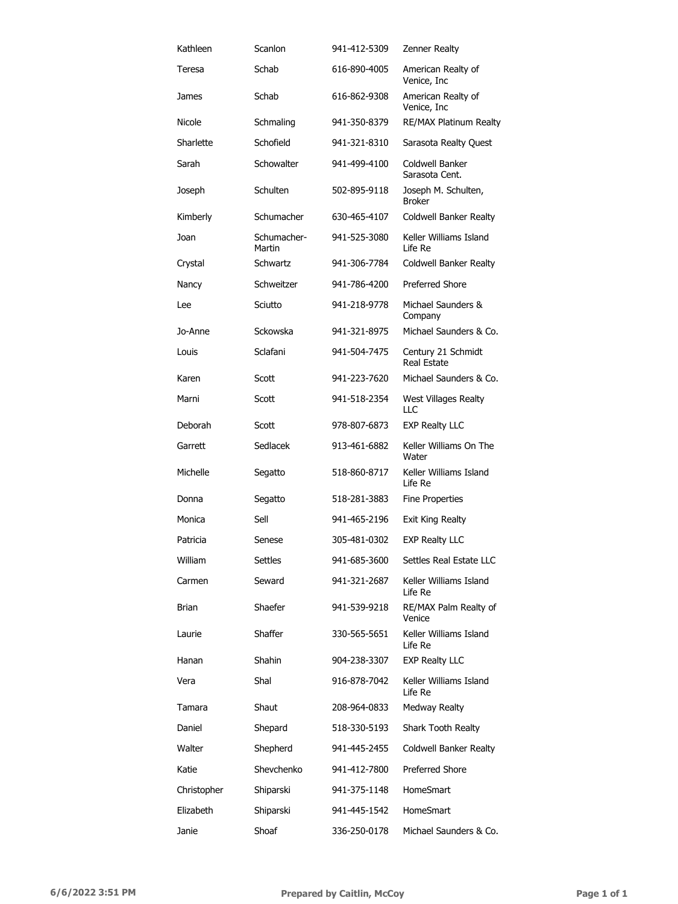| Kathleen     | Scanlon               | 941-412-5309 | Zenner Realty                            |
|--------------|-----------------------|--------------|------------------------------------------|
| Teresa       | Schab                 | 616-890-4005 | American Realty of<br>Venice, Inc        |
| James        | Schab                 | 616-862-9308 | American Realty of<br>Venice, Inc        |
| Nicole       | Schmaling             | 941-350-8379 | RE/MAX Platinum Realty                   |
| Sharlette    | Schofield             | 941-321-8310 | Sarasota Realty Quest                    |
| Sarah        | Schowalter            | 941-499-4100 | Coldwell Banker<br>Sarasota Cent.        |
| Joseph       | Schulten              | 502-895-9118 | Joseph M. Schulten,<br><b>Broker</b>     |
| Kimberly     | Schumacher            | 630-465-4107 | Coldwell Banker Realty                   |
| Joan         | Schumacher-<br>Martin | 941-525-3080 | Keller Williams Island<br>Life Re        |
| Crystal      | Schwartz              | 941-306-7784 | Coldwell Banker Realty                   |
| Nancy        | Schweitzer            | 941-786-4200 | <b>Preferred Shore</b>                   |
| Lee          | Sciutto               | 941-218-9778 | Michael Saunders &<br>Company            |
| Jo-Anne      | Sckowska              | 941-321-8975 | Michael Saunders & Co.                   |
| Louis        | Sclafani              | 941-504-7475 | Century 21 Schmidt<br><b>Real Estate</b> |
| Karen        | Scott                 | 941-223-7620 | Michael Saunders & Co.                   |
| Marni        | Scott                 | 941-518-2354 | West Villages Realty<br>LLC              |
| Deborah      | Scott                 | 978-807-6873 | <b>EXP Realty LLC</b>                    |
| Garrett      | Sedlacek              | 913-461-6882 | Keller Williams On The<br>Water          |
| Michelle     | Segatto               | 518-860-8717 | Keller Williams Island<br>Life Re        |
| Donna        | Segatto               | 518-281-3883 | Fine Properties                          |
| Monica       | Sell                  | 941-465-2196 | Exit King Realty                         |
| Patricia     | Senese                | 305-481-0302 | EXP Realty LLC                           |
| William      | Settles               | 941-685-3600 | Settles Real Estate LLC                  |
| Carmen       | Seward                | 941-321-2687 | Keller Williams Island<br>Life Re        |
| <b>Brian</b> | Shaefer               | 941-539-9218 | RE/MAX Palm Realty of<br>Venice          |
| Laurie       | Shaffer               | 330-565-5651 | Keller Williams Island<br>Life Re        |
| Hanan        | Shahin                | 904-238-3307 | <b>EXP Realty LLC</b>                    |
| Vera         | Shal                  | 916-878-7042 | Keller Williams Island<br>Life Re        |
| Tamara       | Shaut                 | 208-964-0833 | Medway Realty                            |
| Daniel       | Shepard               | 518-330-5193 | Shark Tooth Realty                       |
| Walter       | Shepherd              | 941-445-2455 | Coldwell Banker Realty                   |
| Katie        | Shevchenko            | 941-412-7800 | <b>Preferred Shore</b>                   |
| Christopher  | Shiparski             | 941-375-1148 | <b>HomeSmart</b>                         |
| Elizabeth    | Shiparski             | 941-445-1542 | <b>HomeSmart</b>                         |
| Janie        | Shoaf                 | 336-250-0178 | Michael Saunders & Co.                   |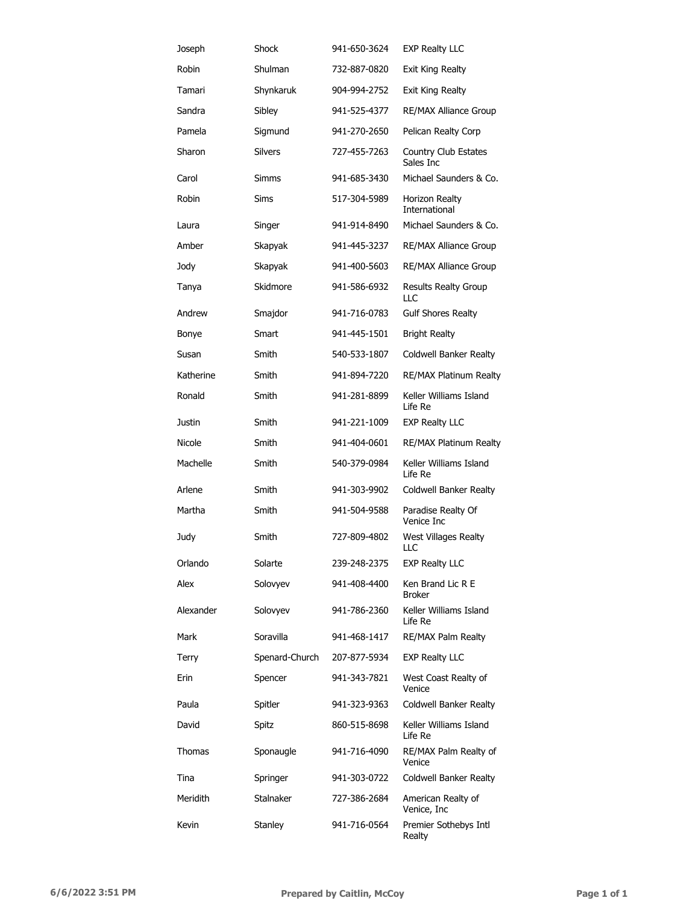| Joseph    | Shock          | 941-650-3624 | <b>EXP Realty LLC</b>              |
|-----------|----------------|--------------|------------------------------------|
| Robin     | Shulman        | 732-887-0820 | Exit King Realty                   |
| Tamari    | Shynkaruk      | 904-994-2752 | Exit King Realty                   |
| Sandra    | Sibley         | 941-525-4377 | <b>RE/MAX Alliance Group</b>       |
| Pamela    | Sigmund        | 941-270-2650 | Pelican Realty Corp                |
| Sharon    | <b>Silvers</b> | 727-455-7263 | Country Club Estates<br>Sales Inc  |
| Carol     | <b>Simms</b>   | 941-685-3430 | Michael Saunders & Co.             |
| Robin     | Sims           | 517-304-5989 | Horizon Realty<br>International    |
| Laura     | Singer         | 941-914-8490 | Michael Saunders & Co.             |
| Amber     | Skapyak        | 941-445-3237 | <b>RE/MAX Alliance Group</b>       |
| Jody      | Skapyak        | 941-400-5603 | <b>RE/MAX Alliance Group</b>       |
| Tanya     | Skidmore       | 941-586-6932 | <b>Results Realty Group</b><br>LLC |
| Andrew    | Smajdor        | 941-716-0783 | <b>Gulf Shores Realty</b>          |
| Bonye     | Smart          | 941-445-1501 | <b>Bright Realty</b>               |
| Susan     | Smith          | 540-533-1807 | Coldwell Banker Realty             |
| Katherine | Smith          | 941-894-7220 | <b>RE/MAX Platinum Realty</b>      |
| Ronald    | Smith          | 941-281-8899 | Keller Williams Island<br>Life Re  |
| Justin    | Smith          | 941-221-1009 | <b>EXP Realty LLC</b>              |
| Nicole    | Smith          | 941-404-0601 | <b>RE/MAX Platinum Realty</b>      |
| Machelle  | Smith          | 540-379-0984 | Keller Williams Island<br>Life Re  |
| Arlene    | Smith          | 941-303-9902 | Coldwell Banker Realty             |
| Martha    | Smith          | 941-504-9588 | Paradise Realty Of<br>Venice Inc   |
| Judy      | Smith          | 727-809-4802 | West Villages Realty<br>LLC        |
| Orlando   | Solarte        | 239-248-2375 | <b>EXP Realty LLC</b>              |
| Alex      | Solovyev       | 941-408-4400 | Ken Brand Lic R E<br>Broker        |
| Alexander | Solovyev       | 941-786-2360 | Keller Williams Island<br>Life Re  |
| Mark      | Soravilla      | 941-468-1417 | RE/MAX Palm Realty                 |
| Terry     | Spenard-Church | 207-877-5934 | <b>EXP Realty LLC</b>              |
| Erin      | Spencer        | 941-343-7821 | West Coast Realty of<br>Venice     |
| Paula     | Spitler        | 941-323-9363 | Coldwell Banker Realty             |
| David     | Spitz          | 860-515-8698 | Keller Williams Island<br>Life Re  |
| Thomas    | Sponaugle      | 941-716-4090 | RE/MAX Palm Realty of<br>Venice    |
| Tina      | Springer       | 941-303-0722 | Coldwell Banker Realty             |
| Meridith  | Stalnaker      | 727-386-2684 | American Realty of<br>Venice, Inc  |
| Kevin     | Stanley        | 941-716-0564 | Premier Sothebys Intl<br>Realty    |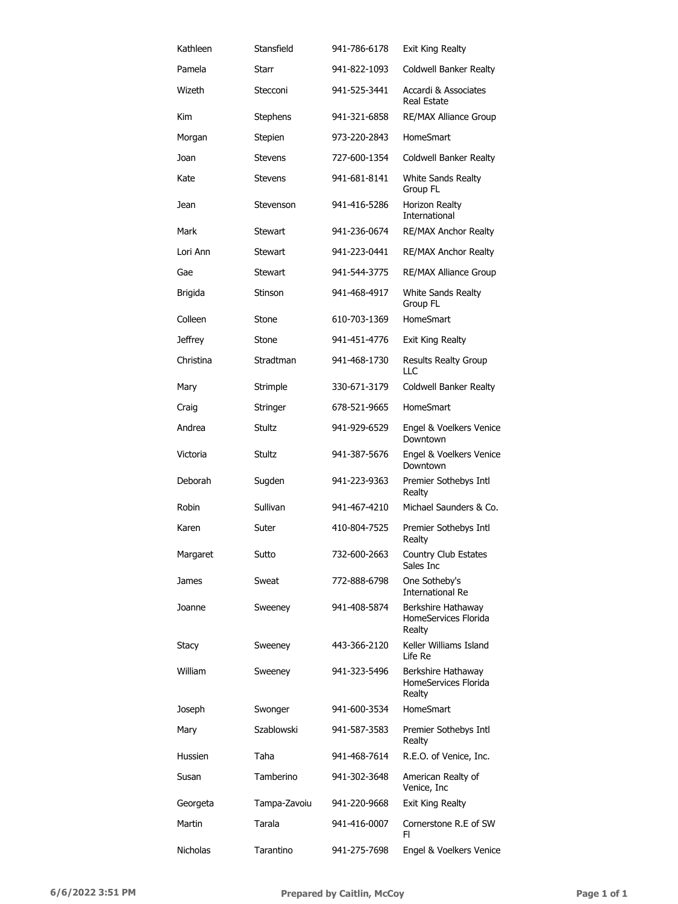| Kathleen       | Stansfield      | 941-786-6178 | Exit King Realty                                     |
|----------------|-----------------|--------------|------------------------------------------------------|
| Pamela         | Starr           | 941-822-1093 | Coldwell Banker Realty                               |
| Wizeth         | Stecconi        | 941-525-3441 | Accardi & Associates<br><b>Real Estate</b>           |
| Kim            | <b>Stephens</b> | 941-321-6858 | <b>RE/MAX Alliance Group</b>                         |
| Morgan         | Stepien         | 973-220-2843 | <b>HomeSmart</b>                                     |
| Joan           | Stevens         | 727-600-1354 | Coldwell Banker Realty                               |
| Kate           | Stevens         | 941-681-8141 | White Sands Realty<br>Group FL                       |
| Jean           | Stevenson       | 941-416-5286 | Horizon Realty<br>International                      |
| Mark           | Stewart         | 941-236-0674 | RE/MAX Anchor Realty                                 |
| Lori Ann       | Stewart         | 941-223-0441 | RE/MAX Anchor Realty                                 |
| Gae            | Stewart         | 941-544-3775 | <b>RE/MAX Alliance Group</b>                         |
| Brigida        | Stinson         | 941-468-4917 | White Sands Realty<br>Group FL                       |
| Colleen        | Stone           | 610-703-1369 | <b>HomeSmart</b>                                     |
| <b>Jeffrey</b> | Stone           | 941-451-4776 | Exit King Realty                                     |
| Christina      | Stradtman       | 941-468-1730 | <b>Results Realty Group</b><br>LLC                   |
| Mary           | Strimple        | 330-671-3179 | Coldwell Banker Realty                               |
| Craig          | Stringer        | 678-521-9665 | HomeSmart                                            |
| Andrea         | <b>Stultz</b>   | 941-929-6529 | Engel & Voelkers Venice<br>Downtown                  |
| Victoria       | Stultz          | 941-387-5676 | Engel & Voelkers Venice<br>Downtown                  |
| Deborah        | Sugden          | 941-223-9363 | Premier Sothebys Intl<br>Realty                      |
| Robin          | Sullivan        | 941-467-4210 | Michael Saunders & Co.                               |
| Karen          | Suter           | 410-804-7525 | Premier Sothebys Intl<br>Realty                      |
| Margaret       | Sutto           | 732-600-2663 | Country Club Estates<br>Sales Inc                    |
| James          | Sweat           | 772-888-6798 | One Sotheby's<br><b>International Re</b>             |
| Joanne         | Sweeney         | 941-408-5874 | Berkshire Hathaway<br>HomeServices Florida<br>Realty |
| <b>Stacy</b>   | Sweeney         | 443-366-2120 | Keller Williams Island<br>Life Re                    |
| William        | Sweeney         | 941-323-5496 | Berkshire Hathaway<br>HomeServices Florida<br>Realty |
| Joseph         | Swonger         | 941-600-3534 | HomeSmart                                            |
| Mary           | Szablowski      | 941-587-3583 | Premier Sothebys Intl<br>Realty                      |
| Hussien        | Taha            | 941-468-7614 | R.E.O. of Venice, Inc.                               |
| Susan          | Tamberino       | 941-302-3648 | American Realty of<br>Venice, Inc                    |
| Georgeta       | Tampa-Zavoiu    | 941-220-9668 | Exit King Realty                                     |
| Martin         | Tarala          | 941-416-0007 | Cornerstone R.E of SW<br>FI.                         |
| Nicholas       | Tarantino       | 941-275-7698 | Engel & Voelkers Venice                              |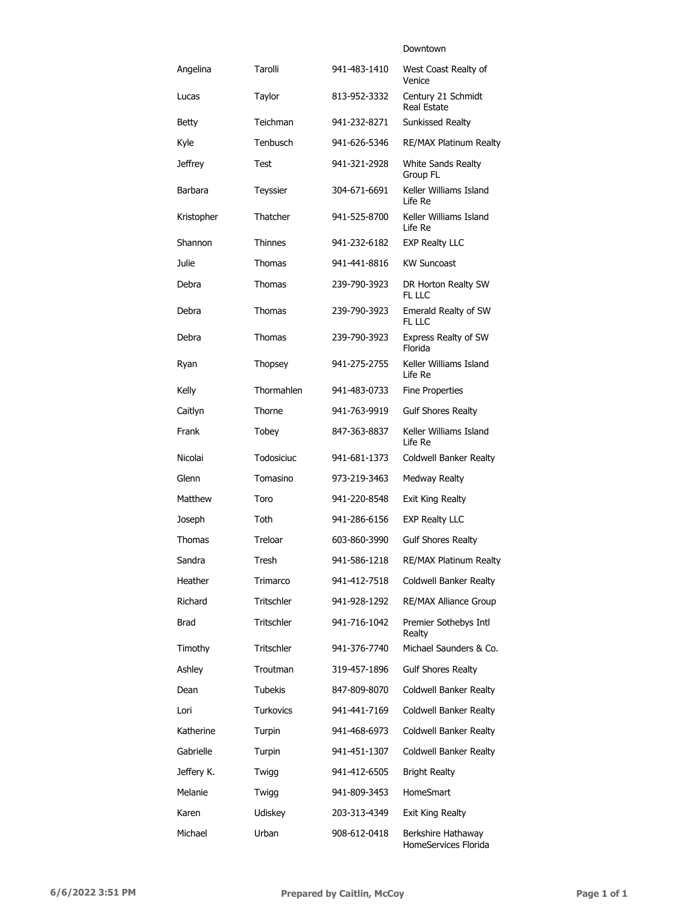#### Downtown

| Angelina       | Tarolli           | 941-483-1410 | West Coast Realty of<br>Venice             |
|----------------|-------------------|--------------|--------------------------------------------|
| Lucas          | Taylor            | 813-952-3332 | Century 21 Schmidt<br>Real Estate          |
| Betty          | Teichman          | 941-232-8271 | Sunkissed Realty                           |
| Kyle           | Tenbusch          | 941-626-5346 | RE/MAX Platinum Realty                     |
| <b>Jeffrey</b> | Test              | 941-321-2928 | White Sands Realty<br>Group FL             |
| Barbara        | Teyssier          | 304-671-6691 | Keller Williams Island<br>Life Re          |
| Kristopher     | Thatcher          | 941-525-8700 | Keller Williams Island<br>Life Re          |
| Shannon        | Thinnes           | 941-232-6182 | <b>EXP Realty LLC</b>                      |
| Julie          | Thomas            | 941-441-8816 | <b>KW Suncoast</b>                         |
| Debra          | Thomas            | 239-790-3923 | DR Horton Realty SW<br>FL LLC              |
| Debra          | Thomas            | 239-790-3923 | Emerald Realty of SW<br>FL LLC             |
| Debra          | Thomas            | 239-790-3923 | Express Realty of SW<br>Florida            |
| Ryan           | Thopsey           | 941-275-2755 | Keller Williams Island<br>Life Re          |
| Kelly          | Thormahlen        | 941-483-0733 | <b>Fine Properties</b>                     |
| Caitlyn        | Thorne            | 941-763-9919 | <b>Gulf Shores Realty</b>                  |
| Frank          | Tobey             | 847-363-8837 | Keller Williams Island<br>Life Re          |
| Nicolai        | Todosiciuc        | 941-681-1373 | Coldwell Banker Realty                     |
| Glenn          | Tomasino          | 973-219-3463 | Medway Realty                              |
| Matthew        | Toro              | 941-220-8548 | Exit King Realty                           |
| Joseph         | Toth              | 941-286-6156 | <b>EXP Realty LLC</b>                      |
| Thomas         | Treloar           | 603-860-3990 | <b>Gulf Shores Realty</b>                  |
| Sandra         | Tresh             | 941-586-1218 | RE/MAX Platinum Realty                     |
| Heather        | Trimarco          | 941-412-7518 | Coldwell Banker Realty                     |
| Richard        | <b>Tritschler</b> | 941-928-1292 | RE/MAX Alliance Group                      |
| Brad           | <b>Tritschler</b> | 941-716-1042 | Premier Sothebys Intl<br>Realty            |
| Timothy        | <b>Tritschler</b> | 941-376-7740 | Michael Saunders & Co.                     |
| Ashley         | Troutman          | 319-457-1896 | <b>Gulf Shores Realty</b>                  |
| Dean           | <b>Tubekis</b>    | 847-809-8070 | <b>Coldwell Banker Realty</b>              |
| Lori           | <b>Turkovics</b>  | 941-441-7169 | Coldwell Banker Realty                     |
| Katherine      | Turpin            | 941-468-6973 | Coldwell Banker Realty                     |
| Gabrielle      | Turpin            | 941-451-1307 | Coldwell Banker Realty                     |
| Jeffery K.     | Twigg             | 941-412-6505 | <b>Bright Realty</b>                       |
| Melanie        | Twigg             | 941-809-3453 | <b>HomeSmart</b>                           |
| Karen          | Udiskey           | 203-313-4349 | Exit King Realty                           |
| Michael        | Urban             | 908-612-0418 | Berkshire Hathaway<br>HomeServices Florida |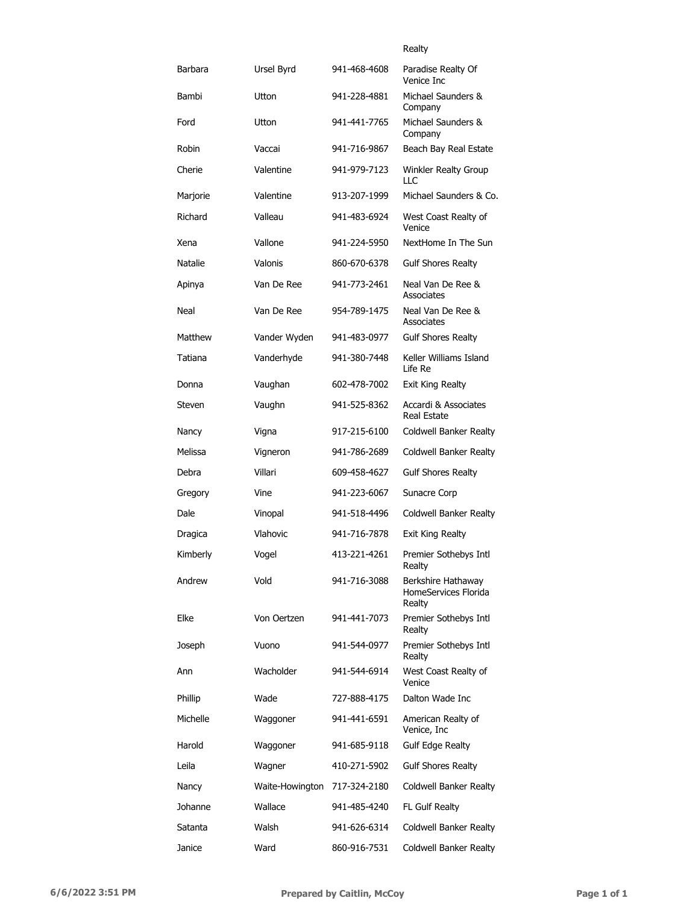|                |                 |              | Realty                                               |
|----------------|-----------------|--------------|------------------------------------------------------|
| Barbara        | Ursel Byrd      | 941-468-4608 | Paradise Realty Of<br>Venice Inc                     |
| Bambi          | Utton           | 941-228-4881 | Michael Saunders &<br>Company                        |
| Ford           | Utton           | 941-441-7765 | Michael Saunders &<br>Company                        |
| Robin          | Vaccai          | 941-716-9867 | Beach Bay Real Estate                                |
| Cherie         | Valentine       | 941-979-7123 | <b>Winkler Realty Group</b><br>LLC                   |
| Marjorie       | Valentine       | 913-207-1999 | Michael Saunders & Co.                               |
| Richard        | Valleau         | 941-483-6924 | West Coast Realty of<br>Venice                       |
| Xena           | Vallone         | 941-224-5950 | NextHome In The Sun                                  |
| <b>Natalie</b> | Valonis         | 860-670-6378 | <b>Gulf Shores Realty</b>                            |
| Apinya         | Van De Ree      | 941-773-2461 | Neal Van De Ree &<br>Associates                      |
| Neal           | Van De Ree      | 954-789-1475 | Neal Van De Ree &<br>Associates                      |
| Matthew        | Vander Wyden    | 941-483-0977 | <b>Gulf Shores Realty</b>                            |
| Tatiana        | Vanderhyde      | 941-380-7448 | Keller Williams Island<br>Life Re                    |
| Donna          | Vaughan         | 602-478-7002 | Exit King Realty                                     |
| Steven         | Vaughn          | 941-525-8362 | Accardi & Associates<br><b>Real Estate</b>           |
| Nancy          | Vigna           | 917-215-6100 | Coldwell Banker Realty                               |
| Melissa        | Vigneron        | 941-786-2689 | Coldwell Banker Realty                               |
| Debra          | Villari         | 609-458-4627 | <b>Gulf Shores Realty</b>                            |
| Gregory        | Vine            | 941-223-6067 | Sunacre Corp                                         |
| Dale           | Vinopal         | 941-518-4496 | Coldwell Banker Realty                               |
| Dragica        | Vlahovic        | 941-716-7878 | Exit King Realty                                     |
| Kimberly       | Vogel           | 413-221-4261 | Premier Sothebys Intl<br>Realty                      |
| Andrew         | Vold            | 941-716-3088 | Berkshire Hathaway<br>HomeServices Florida<br>Realty |
| Elke           | Von Oertzen     | 941-441-7073 | Premier Sothebys Intl<br>Realty                      |
| Joseph         | Vuono           | 941-544-0977 | Premier Sothebys Intl<br>Realty                      |
| Ann            | Wacholder       | 941-544-6914 | West Coast Realty of<br>Venice                       |
| Phillip        | Wade            | 727-888-4175 | Dalton Wade Inc                                      |
| Michelle       | Waggoner        | 941-441-6591 | American Realty of<br>Venice, Inc                    |
| Harold         | Waggoner        | 941-685-9118 | <b>Gulf Edge Realty</b>                              |
| Leila          | Wagner          | 410-271-5902 | <b>Gulf Shores Realty</b>                            |
| Nancy          | Waite-Howington | 717-324-2180 | Coldwell Banker Realty                               |
| Johanne        | Wallace         | 941-485-4240 | FL Gulf Realty                                       |
| Satanta        | Walsh           | 941-626-6314 | Coldwell Banker Realty                               |
| Janice         | Ward            | 860-916-7531 | Coldwell Banker Realty                               |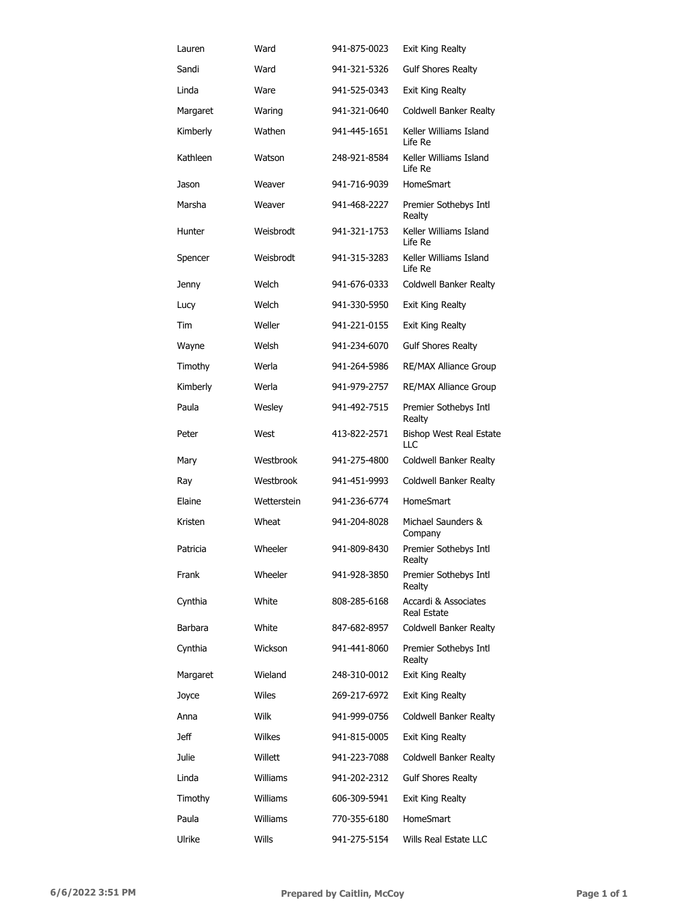| Lauren   | Ward        | 941-875-0023 | <b>Exit King Realty</b>             |
|----------|-------------|--------------|-------------------------------------|
| Sandi    | Ward        | 941-321-5326 | <b>Gulf Shores Realty</b>           |
| Linda    | Ware        | 941-525-0343 | Exit King Realty                    |
| Margaret | Waring      | 941-321-0640 | Coldwell Banker Realty              |
| Kimberly | Wathen      | 941-445-1651 | Keller Williams Island<br>Life Re   |
| Kathleen | Watson      | 248-921-8584 | Keller Williams Island<br>Life Re   |
| Jason    | Weaver      | 941-716-9039 | HomeSmart                           |
| Marsha   | Weaver      | 941-468-2227 | Premier Sothebys Intl<br>Realty     |
| Hunter   | Weisbrodt   | 941-321-1753 | Keller Williams Island<br>Life Re   |
| Spencer  | Weisbrodt   | 941-315-3283 | Keller Williams Island<br>Life Re   |
| Jenny    | Welch       | 941-676-0333 | Coldwell Banker Realty              |
| Lucy     | Welch       | 941-330-5950 | Exit King Realty                    |
| Tim      | Weller      | 941-221-0155 | Exit King Realty                    |
| Wayne    | Welsh       | 941-234-6070 | <b>Gulf Shores Realty</b>           |
| Timothy  | Werla       | 941-264-5986 | <b>RE/MAX Alliance Group</b>        |
| Kimberly | Werla       | 941-979-2757 | RE/MAX Alliance Group               |
| Paula    | Wesley      | 941-492-7515 | Premier Sothebys Intl<br>Realty     |
| Peter    | West        | 413-822-2571 | Bishop West Real Estate<br>LLC      |
| Mary     | Westbrook   | 941-275-4800 | Coldwell Banker Realty              |
| Ray      | Westbrook   | 941-451-9993 | Coldwell Banker Realty              |
| Elaine   | Wetterstein | 941-236-6774 | <b>HomeSmart</b>                    |
| Kristen  | Wheat       | 941-204-8028 | Michael Saunders &<br>Company       |
| Patricia | Wheeler     | 941-809-8430 | Premier Sothebys Intl<br>Realty     |
| Frank    | Wheeler     | 941-928-3850 | Premier Sothebys Intl<br>Realty     |
| Cynthia  | White       | 808-285-6168 | Accardi & Associates<br>Real Estate |
| Barbara  | White       | 847-682-8957 | Coldwell Banker Realty              |
| Cynthia  | Wickson     | 941-441-8060 | Premier Sothebys Intl<br>Realty     |
| Margaret | Wieland     | 248-310-0012 | Exit King Realty                    |
| Joyce    | Wiles       | 269-217-6972 | <b>Exit King Realty</b>             |
| Anna     | Wilk        | 941-999-0756 | Coldwell Banker Realty              |
| Jeff     | Wilkes      | 941-815-0005 | <b>Exit King Realty</b>             |
| Julie    | Willett     | 941-223-7088 | Coldwell Banker Realty              |
| Linda    | Williams    | 941-202-2312 | <b>Gulf Shores Realty</b>           |
| Timothy  | Williams    | 606-309-5941 | Exit King Realty                    |
| Paula    | Williams    | 770-355-6180 | <b>HomeSmart</b>                    |
| Ulrike   | Wills       | 941-275-5154 | Wills Real Estate LLC               |